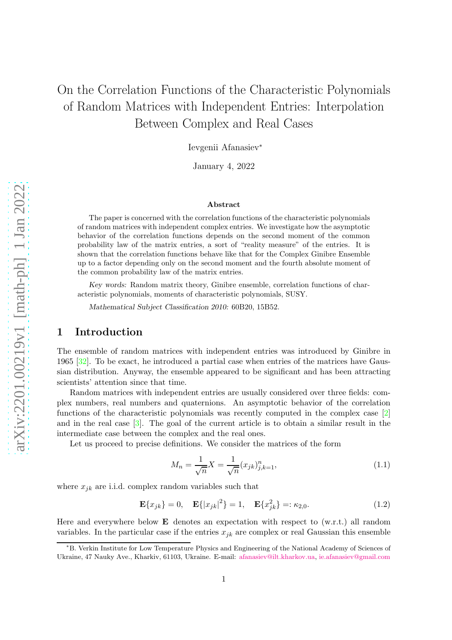# On the Correlation Functions of the Characteristic Polynomials of Random Matrices with Independent Entries: Interpolation Between Complex and Real Cases

Ievgenii Afanasiev<sup>∗</sup>

January 4, 2022

#### Abstract

The paper is concerned with the correlation functions of the characteristic polynomials of random matrices with independent complex entries. We investigate how the asymptotic behavior of the correlation functions depends on the second moment of the common probability law of the matrix entries, a sort of "reality measure" of the entries. It is shown that the correlation functions behave like that for the Complex Ginibre Ensemble up to a factor depending only on the second moment and the fourth absolute moment of the common probability law of the matrix entries.

Key words: Random matrix theory, Ginibre ensemble, correlation functions of characteristic polynomials, moments of characteristic polynomials, SUSY.

Mathematical Subject Classification 2010: 60B20, 15B52.

### 1 Introduction

The ensemble of random matrices with independent entries was introduced by Ginibre in 1965 [\[32\]](#page-19-0). To be exact, he introduced a partial case when entries of the matrices have Gaussian distribution. Anyway, the ensemble appeared to be significant and has been attracting scientists' attention since that time.

Random matrices with independent entries are usually considered over three fields: complex numbers, real numbers and quaternions. An asymptotic behavior of the correlation functions of the characteristic polynomials was recently computed in the complex case [\[2\]](#page-17-0) and in the real case [\[3\]](#page-17-1). The goal of the current article is to obtain a similar result in the intermediate case between the complex and the real ones.

Let us proceed to precise definitions. We consider the matrices of the form

<span id="page-0-0"></span>
$$
M_n = \frac{1}{\sqrt{n}} X = \frac{1}{\sqrt{n}} (x_{jk})_{j,k=1}^n,
$$
\n(1.1)

where  $x_{jk}$  are i.i.d. complex random variables such that

<span id="page-0-1"></span>
$$
\mathbf{E}\{x_{jk}\} = 0, \quad \mathbf{E}\{|x_{jk}|^2\} = 1, \quad \mathbf{E}\{x_{jk}^2\} =: \kappa_{2,0}.
$$
 (1.2)

Here and everywhere below  $\bf{E}$  denotes an expectation with respect to (w.r.t.) all random variables. In the particular case if the entries  $x_{jk}$  are complex or real Gaussian this ensemble

<sup>∗</sup>B. Verkin Institute for Low Temperature Physics and Engineering of the National Academy of Sciences of Ukraine, 47 Nauky Ave., Kharkiv, 61103, Ukraine. E-mail: [afanasiev@ilt.kharkov.ua,](mailto:afanasiev@ilt.kharkov.ua) [ie.afanasiev@gmail.com](mailto:afanasiev@ilt.kharkov.ua)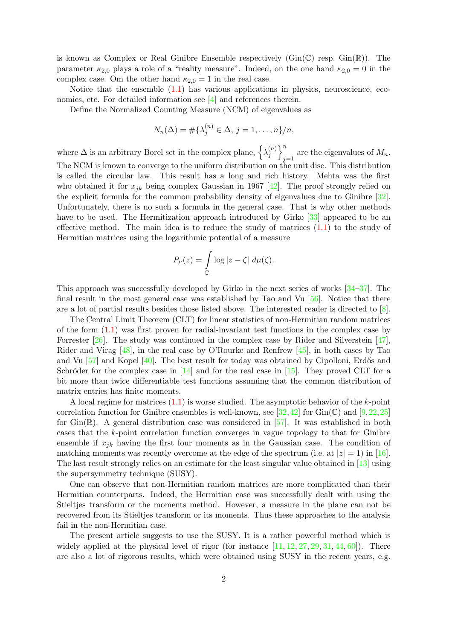is known as Complex or Real Ginibre Ensemble respectively  $(Gin(\mathbb{C})$  resp.  $Gin(\mathbb{R})$ . The parameter  $\kappa_{2,0}$  plays a role of a "reality measure". Indeed, on the one hand  $\kappa_{2,0} = 0$  in the complex case. Om the other hand  $\kappa_{2,0} = 1$  in the real case.

Notice that the ensemble  $(1.1)$  has various applications in physics, neuroscience, economics, etc. For detailed information see [\[4\]](#page-17-2) and references therein.

Define the Normalized Counting Measure (NCM) of eigenvalues as

$$
N_n(\Delta) = \#\{\lambda_j^{(n)} \in \Delta, j = 1, \ldots, n\}/n,
$$

where  $\Delta$  is an arbitrary Borel set in the complex plane,  $\{\lambda_i^{(n)}\}$  $\binom{n}{j}$ are the eigenvalues of  $M_n$ . The NCM is known to converge to the uniform distribution on the unit disc. This distribution is called the circular law. This result has a long and rich history. Mehta was the first who obtained it for  $x_{jk}$  being complex Gaussian in 1967 [\[42\]](#page-19-1). The proof strongly relied on the explicit formula for the common probability density of eigenvalues due to Ginibre [\[32\]](#page-19-0). Unfortunately, there is no such a formula in the general case. That is why other methods have to be used. The Hermitization approach introduced by Girko [\[33\]](#page-19-2) appeared to be an effective method. The main idea is to reduce the study of matrices  $(1.1)$  to the study of Hermitian matrices using the logarithmic potential of a measure

$$
P_{\mu}(z) = \int_{\mathbb{C}} \log |z - \zeta| \ d\mu(\zeta).
$$

This approach was successfully developed by Girko in the next series of works [\[34–](#page-19-3)[37\]](#page-19-4). The final result in the most general case was established by Tao and Vu  $[56]$ . Notice that there are a lot of partial results besides those listed above. The interested reader is directed to [\[8\]](#page-17-3).

The Central Limit Theorem (CLT) for linear statistics of non-Hermitian random matrices of the form [\(1.1\)](#page-0-0) was first proven for radial-invariant test functions in the complex case by Forrester [\[26\]](#page-19-5). The study was continued in the complex case by Rider and Silverstein [\[47\]](#page-20-1), Rider and Virag [\[48\]](#page-20-2), in the real case by O'Rourke and Renfrew [\[45\]](#page-20-3), in both cases by Tao and Vu  $[57]$  and Kopel  $[40]$ . The best result for today was obtained by Cipolloni, Erdős and Schröder for the complex case in [\[14\]](#page-18-0) and for the real case in [\[15\]](#page-18-1). They proved CLT for a bit more than twice differentiable test functions assuming that the common distribution of matrix entries has finite moments.

A local regime for matrices [\(1.1\)](#page-0-0) is worse studied. The asymptotic behavior of the k-point correlation function for Ginibre ensembles is well-known, see [\[32,](#page-19-0)[42\]](#page-19-1) for Gin( $\mathbb{C}$ ) and [\[9,](#page-17-4)[22,](#page-18-2)[25\]](#page-18-3) for  $\text{Gin}(\mathbb{R})$ . A general distribution case was considered in [\[57\]](#page-20-4). It was established in both cases that the  $k$ -point correlation function converges in vague topology to that for Ginibre ensemble if  $x_{jk}$  having the first four moments as in the Gaussian case. The condition of matching moments was recently overcome at the edge of the spectrum (i.e. at  $|z| = 1$ ) in [\[16\]](#page-18-4). The last result strongly relies on an estimate for the least singular value obtained in [\[13\]](#page-18-5) using the supersymmetry technique (SUSY).

One can observe that non-Hermitian random matrices are more complicated than their Hermitian counterparts. Indeed, the Hermitian case was successfully dealt with using the Stieltjes transform or the moments method. However, a measure in the plane can not be recovered from its Stieltjes transform or its moments. Thus these approaches to the analysis fail in the non-Hermitian case.

The present article suggests to use the SUSY. It is a rather powerful method which is widely applied at the physical level of rigor (for instance  $[11, 12, 27, 29, 31, 44, 60]$  $[11, 12, 27, 29, 31, 44, 60]$  $[11, 12, 27, 29, 31, 44, 60]$  $[11, 12, 27, 29, 31, 44, 60]$  $[11, 12, 27, 29, 31, 44, 60]$  $[11, 12, 27, 29, 31, 44, 60]$  $[11, 12, 27, 29, 31, 44, 60]$  $[11, 12, 27, 29, 31, 44, 60]$  $[11, 12, 27, 29, 31, 44, 60]$  $[11, 12, 27, 29, 31, 44, 60]$  $[11, 12, 27, 29, 31, 44, 60]$  $[11, 12, 27, 29, 31, 44, 60]$ ). There are also a lot of rigorous results, which were obtained using SUSY in the recent years, e.g.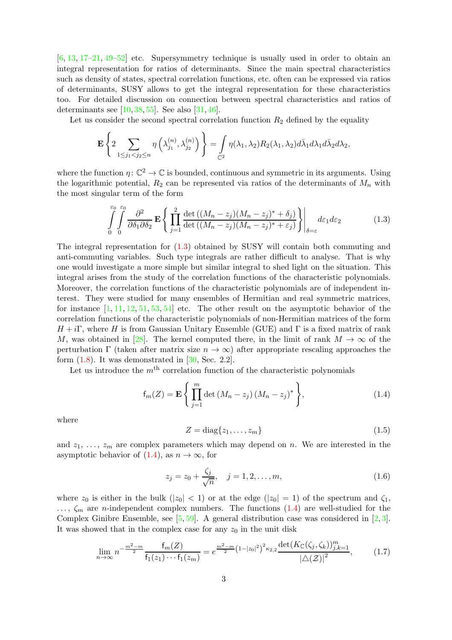$[6, 13, 17–21, 49–52]$  $[6, 13, 17–21, 49–52]$  $[6, 13, 17–21, 49–52]$  $[6, 13, 17–21, 49–52]$  $[6, 13, 17–21, 49–52]$  $[6, 13, 17–21, 49–52]$  $[6, 13, 17–21, 49–52]$  $[6, 13, 17–21, 49–52]$  $[6, 13, 17–21, 49–52]$  etc. Supersymmetry technique is usually used in order to obtain an integral representation for ratios of determinants. Since the main spectral characteristics such as density of states, spectral correlation functions, etc. often can be expressed via ratios of determinants, SUSY allows to get the integral representation for these characteristics too. For detailed discussion on connection between spectral characteristics and ratios of determinants see [\[10,](#page-18-10) [38,](#page-19-10) [55\]](#page-20-9). See also [\[31,](#page-19-9) [46\]](#page-20-10).

Let us consider the second spectral correlation function  $R_2$  defined by the equality

$$
\mathbf{E}\left\{2\sum_{1\leq j_1
$$

where the function  $\eta: \mathbb{C}^2 \to \mathbb{C}$  is bounded, continuous and symmetric in its arguments. Using the logarithmic potential,  $R_2$  can be represented via ratios of the determinants of  $M_n$  with the most singular term of the form

<span id="page-2-0"></span>
$$
\int_{0}^{\varepsilon_0} \int_{0}^{\varepsilon_0} \frac{\partial^2}{\partial \delta_1 \partial \delta_2} \mathbf{E} \left\{ \prod_{j=1}^{2} \frac{\det\left( (M_n - z_j)(M_n - z_j)^* + \delta_j \right)}{\det\left( (M_n - z_j)(M_n - z_j)^* + \varepsilon_j \right)} \right\}_{\delta = \varepsilon} d\varepsilon_1 d\varepsilon_2 \tag{1.3}
$$

The integral representation for [\(1.3\)](#page-2-0) obtained by SUSY will contain both commuting and anti-commuting variables. Such type integrals are rather difficult to analyse. That is why one would investigate a more simple but similar integral to shed light on the situation. This integral arises from the study of the correlation functions of the characteristic polynomials. Moreover, the correlation functions of the characteristic polynomials are of independent interest. They were studied for many ensembles of Hermitian and real symmetric matrices, for instance  $[1, 11, 12, 51, 53, 54]$  $[1, 11, 12, 51, 53, 54]$  $[1, 11, 12, 51, 53, 54]$  $[1, 11, 12, 51, 53, 54]$  $[1, 11, 12, 51, 53, 54]$  $[1, 11, 12, 51, 53, 54]$  $[1, 11, 12, 51, 53, 54]$  $[1, 11, 12, 51, 53, 54]$  $[1, 11, 12, 51, 53, 54]$  $[1, 11, 12, 51, 53, 54]$  etc. The other result on the asymptotic behavior of the correlation functions of the characteristic polynomials of non-Hermitian matrices of the form  $H + i\Gamma$ , where H is from Gaussian Unitary Ensemble (GUE) and  $\Gamma$  is a fixed matrix of rank M, was obtained in [\[28\]](#page-19-11). The kernel computed there, in the limit of rank  $M \to \infty$  of the perturbation Γ (taken after matrix size  $n \to \infty$ ) after appropriate rescaling approaches the form  $(1.8)$ . It was demonstrated in  $[30, Sec. 2.2]$ .

Let us introduce the  $m<sup>th</sup>$  correlation function of the characteristic polynomials

<span id="page-2-1"></span>
$$
f_m(Z) = \mathbf{E} \left\{ \prod_{j=1}^m \det (M_n - z_j) (M_n - z_j)^* \right\},
$$
 (1.4)

where

$$
Z = \text{diag}\{z_1, \dots, z_m\} \tag{1.5}
$$

and  $z_1, \ldots, z_m$  are complex parameters which may depend on n. We are interested in the asymptotic behavior of  $(1.4)$ , as  $n \to \infty$ , for

<span id="page-2-2"></span>
$$
z_j = z_0 + \frac{\zeta_j}{\sqrt{n}}, \quad j = 1, 2, \dots, m,
$$
\n(1.6)

where  $z_0$  is either in the bulk  $(|z_0| < 1)$  or at the edge  $(|z_0| = 1)$  of the spectrum and  $\zeta_1$ ,  $\ldots, \zeta_m$  are *n*-independent complex numbers. The functions [\(1.4\)](#page-2-1) are well-studied for the Complex Ginibre Ensemble, see [\[5,](#page-17-7) [59\]](#page-20-14). A general distribution case was considered in [\[2,](#page-17-0) [3\]](#page-17-1). It was showed that in the complex case for any  $z_0$  in the unit disk

<span id="page-2-3"></span>
$$
\lim_{n \to \infty} n^{-\frac{m^2 - m}{2}} \frac{f_m(Z)}{f_1(z_1) \cdots f_1(z_m)} = e^{\frac{m^2 - m}{2} (1 - |z_0|^2)^2 \kappa_{2,2}} \frac{\det(K_{\mathbb{C}}(\zeta_j, \zeta_k))_{j,k=1}^m}{|\triangle(\mathcal{Z})|^2},
$$
(1.7)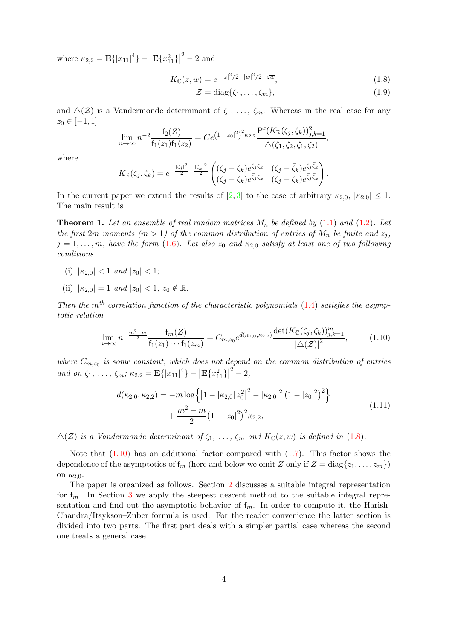where  $\kappa_{2,2} = \mathbf{E} \{ |x_{11}|^4 \} - |\mathbf{E} \{ x_{11}^2 \} |^2 - 2$  and

$$
K_{\mathbb{C}}(z,w) = e^{-|z|^2/2 - |w|^2/2 + z\overline{w}},\tag{1.8}
$$

<span id="page-3-0"></span>
$$
\mathcal{Z} = \text{diag}\{\zeta_1, \dots, \zeta_m\},\tag{1.9}
$$

and  $\Delta(\mathcal{Z})$  is a Vandermonde determinant of  $\zeta_1, \ldots, \zeta_m$ . Whereas in the real case for any  $z_0 \in [-1, 1]$ 

$$
\lim_{n \to \infty} n^{-2} \frac{f_2(Z)}{f_1(z_1)f_1(z_2)} = Ce^{(1-|z_0|^2)^2 \kappa_{2,2}} \frac{\text{Pf}(K_{\mathbb{R}}(\zeta_j, \zeta_k))_{j,k=1}^2}{\triangle(\zeta_1, \zeta_2, \bar{\zeta}_1, \bar{\zeta}_2)},
$$

where

$$
K_{\mathbb{R}}(\zeta_j,\zeta_k)=e^{-\frac{|\zeta_j|^2}{2}-\frac{|\zeta_k|^2}{2}}\begin{pmatrix}(\zeta_j-\zeta_k)e^{\zeta_j\zeta_k}&(\zeta_j-\bar{\zeta}_k)e^{\zeta_j\bar{\zeta}_k}\\(\bar{\zeta}_j-\zeta_k)e^{\bar{\zeta}_j\zeta_k}&(\bar{\zeta}_j-\bar{\zeta}_k)e^{\bar{\zeta}_j\bar{\zeta}_k}\end{pmatrix}.
$$

In the current paper we extend the results of [\[2,](#page-17-0) [3\]](#page-17-1) to the case of arbitrary  $\kappa_{2,0}$ ,  $|\kappa_{2,0}| \leq 1$ . The main result is

<span id="page-3-2"></span>**Theorem 1.** Let an ensemble of real random matrices  $M_n$  be defined by [\(1.1\)](#page-0-0) and [\(1.2\)](#page-0-1). Let the first 2m moments ( $m > 1$ ) of the common distribution of entries of  $M_n$  be finite and  $z_j$ ,  $j = 1, \ldots, m$ , have the form [\(1.6\)](#page-2-2). Let also  $z_0$  and  $\kappa_{2,0}$  satisfy at least one of two following conditions

- (i)  $|\kappa_{2,0}| < 1$  and  $|z_0| < 1$ ;
- (ii)  $|\kappa_{2,0}| = 1$  and  $|z_0| < 1$ ,  $z_0 \notin \mathbb{R}$ .

Then the  $m<sup>th</sup>$  correlation function of the characteristic polynomials [\(1.4\)](#page-2-1) satisfies the asymptotic relation

$$
\lim_{n \to \infty} n^{-\frac{m^2 - m}{2}} \frac{f_m(Z)}{f_1(z_1) \cdots f_1(z_m)} = C_{m, z_0} e^{d(\kappa_{2,0}, \kappa_{2,2})} \frac{\det(K_{\mathbb{C}}(\zeta_j, \zeta_k))_{j,k=1}^m}{|\triangle(\mathcal{Z})|^2},
$$
(1.10)

<span id="page-3-1"></span>where  $C_{m,z_0}$  is some constant, which does not depend on the common distribution of entries and on  $\zeta_1, \ldots, \zeta_m; \kappa_{2,2} = \mathbf{E}\{|x_{11}|^4\} - |\mathbf{E}\{x_{11}^2\}|^2 - 2,$ 

$$
d(\kappa_{2,0}, \kappa_{2,2}) = -m \log \left\{ \left| 1 - |\kappa_{2,0}| z_0^2 \right|^2 - |\kappa_{2,0}|^2 \left( 1 - |z_0|^2 \right)^2 \right\} + \frac{m^2 - m}{2} \left( 1 - |z_0|^2 \right)^2 \kappa_{2,2}, \tag{1.11}
$$

 $\Delta(\mathcal{Z})$  is a Vandermonde determinant of  $\zeta_1, \ldots, \zeta_m$  and  $K_{\mathbb{C}}(z, w)$  is defined in [\(1.8\)](#page-3-0).

Note that  $(1.10)$  has an additional factor compared with  $(1.7)$ . This factor shows the dependence of the asymptotics of  $f_m$  (here and below we omit Z only if  $Z = diag\{z_1, \ldots, z_m\}$ ) on  $\kappa_{2,0}$ .

The paper is organized as follows. Section [2](#page-5-0) discusses a suitable integral representation for  $f_m$ . In Section [3](#page-6-0) we apply the steepest descent method to the suitable integral representation and find out the asymptotic behavior of  $f_m$ . In order to compute it, the Harish-Chandra/Itsykson–Zuber formula is used. For the reader convenience the latter section is divided into two parts. The first part deals with a simpler partial case whereas the second one treats a general case.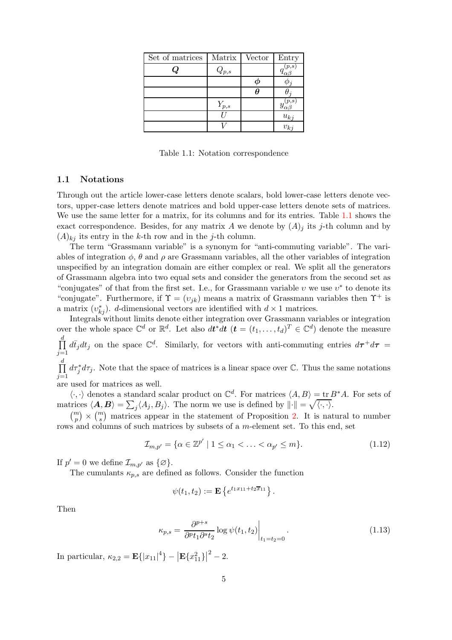<span id="page-4-0"></span>

| Set of matrices | Matrix    | Vector | Entry    |
|-----------------|-----------|--------|----------|
|                 | $Q_{p,s}$ |        | $_{p,s}$ |
|                 |           |        |          |
|                 |           |        |          |
|                 | $Y_{p,s}$ |        | Y        |
|                 |           |        | $u_{kj}$ |
|                 |           |        | $v_{kj}$ |

Table 1.1: Notation correspondence

#### 1.1 Notations

Through out the article lower-case letters denote scalars, bold lower-case letters denote vectors, upper-case letters denote matrices and bold upper-case letters denote sets of matrices. We use the same letter for a matrix, for its columns and for its entries. Table [1.1](#page-4-0) shows the exact correspondence. Besides, for any matrix A we denote by  $(A)_j$  its j-th column and by  $(A)_{ki}$  its entry in the k-th row and in the j-th column.

The term "Grassmann variable" is a synonym for "anti-commuting variable". The variables of integration  $\phi$ ,  $\theta$  and  $\rho$  are Grassmann variables, all the other variables of integration unspecified by an integration domain are either complex or real. We split all the generators of Grassmann algebra into two equal sets and consider the generators from the second set as "conjugates" of that from the first set. I.e., for Grassmann variable  $v$  we use  $v^*$  to denote its "conjugate". Furthermore, if  $\Upsilon = (v_{ik})$  means a matrix of Grassmann variables then  $\Upsilon^+$  is a matrix  $(v_{kj}^*)$ . d-dimensional vectors are identified with  $d \times 1$  matrices.

Integrals without limits denote either integration over Grassmann variables or integration over the whole space  $\mathbb{C}^d$  or  $\mathbb{R}^d$ . Let also  $dt^*dt$   $(t = (t_1, \ldots, t_d)^T \in \mathbb{C}^d)$  denote the measure  $\prod_{i=1}^{d} d\bar{t}_j dt_j$  on the space  $\mathbb{C}^d$ . Similarly, for vectors with anti-commuting entries  $d\tau^+ d\tau =$  $j=1$ d

 $\prod$  $j=1$  $d\tau_j^* d\tau_j$ . Note that the space of matrices is a linear space over  $\mathbb{C}$ . Thus the same notations

are used for matrices as well.

 $\langle \cdot, \cdot \rangle$  denotes a standard scalar product on  $\mathbb{C}^d$ . For matrices  $\langle A, B \rangle = \text{tr } B^* A$ . For sets of matrices  $\langle \mathbf{A}, \mathbf{B} \rangle = \sum_j \langle A_j, B_j \rangle$ . The norm we use is defined by  $\|\cdot\| = \sqrt{\langle \cdot, \cdot \rangle}$ .

 $\binom{m}{p} \times \binom{m}{s}$  matrices appear in the statement of Proposition [2.](#page-5-1) It is natural to number rows and columns of such matrices by subsets of a m-element set. To this end, set

<span id="page-4-1"></span>
$$
\mathcal{I}_{m,p'} = \{ \alpha \in \mathbb{Z}^{p'} \mid 1 \leq \alpha_1 < \ldots < \alpha_{p'} \leq m \}. \tag{1.12}
$$

If  $p' = 0$  we define  $\mathcal{I}_{m,p'}$  as  $\{\varnothing\}$ .

The cumulants  $\kappa_{p,s}$  are defined as follows. Consider the function

<span id="page-4-2"></span>
$$
\psi(t_1, t_2) := \mathbf{E} \left\{ e^{t_1 x_{11} + t_2 \overline{x}_{11}} \right\}.
$$

Then

$$
\kappa_{p,s} = \left. \frac{\partial^{p+s}}{\partial^p t_1 \partial^s t_2} \log \psi(t_1, t_2) \right|_{t_1 = t_2 = 0} . \tag{1.13}
$$

In particular,  $\kappa_{2,2} = \mathbf{E} \{ |x_{11}|^4 \} - |\mathbf{E} \{ x_{11}^2 \}|^2 - 2$ .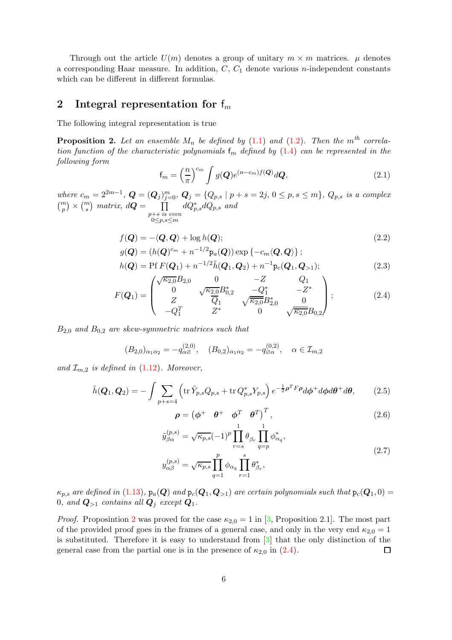Through out the article  $U(m)$  denotes a group of unitary  $m \times m$  matrices.  $\mu$  denotes a corresponding Haar measure. In addition,  $C, C<sub>1</sub>$  denote various *n*-independent constants which can be different in different formulas.

## <span id="page-5-0"></span>2 Integral representation for  $f_m$

The following integral representation is true

<span id="page-5-1"></span>**Proposition 2.** Let an ensemble  $M_n$  be defined by [\(1.1\)](#page-0-0) and [\(1.2\)](#page-0-1). Then the  $m<sup>th</sup>$  correlation function of the characteristic polynomials  $f_m$  defined by [\(1.4\)](#page-2-1) can be represented in the following form

<span id="page-5-4"></span><span id="page-5-3"></span>
$$
\mathsf{f}_m = \left(\frac{n}{\pi}\right)^{c_m} \int g(\mathbf{Q}) e^{(n-c_m)f(\mathbf{Q})} d\mathbf{Q},\tag{2.1}
$$

where  $c_m = 2^{2m-1}$ ,  $\mathbf{Q} = (\mathbf{Q}_j)_{j=0}^m$ ,  $\mathbf{Q}_j = \{Q_{p,s} \mid p+s = 2j, 0 \le p, s \le m\}$ ,  $Q_{p,s}$  is a complex  $\binom{m}{p} \times \binom{m}{s}$  matrix,  $d\mathbf{Q} = \prod$  $p+s$  is even  $0 \leq p,s \leq m$  $dQ_{p,s}^*dQ_{p,s}$  and

$$
f(\mathbf{Q}) = -\langle \mathbf{Q}, \mathbf{Q} \rangle + \log h(\mathbf{Q});\tag{2.2}
$$

$$
g(\mathbf{Q}) = (h(\mathbf{Q})^{c_m} + n^{-1/2} \mathbf{p}_a(\mathbf{Q})) \exp \{-c_m \langle \mathbf{Q}, \mathbf{Q} \rangle \};
$$
  
\n
$$
h(\mathbf{Q}) = \text{Pf } F(\mathbf{Q}_1) + n^{-1/2} \tilde{h}(\mathbf{Q}_1, \mathbf{Q}_2) + n^{-1} \mathbf{p}_c(\mathbf{Q}_1, \mathbf{Q}_{>1});
$$
\n(2.3)

$$
F(Q_1) = \begin{pmatrix} \sqrt{\kappa_{2,0}} B_{2,0} & 0 & -Z & Q_1 \\ 0 & \sqrt{\kappa_{2,0}} B_{0,2}^* & -Q_1^* & -Z^* \\ Z & \overline{Q}_1 & \sqrt{\kappa_{2,0}} B_{2,0}^* & 0 \\ -Q_1^T & Z^* & 0 & \sqrt{\kappa_{2,0}} B_{0,2} \end{pmatrix};
$$
(2.4)

 $B_{2,0}$  and  $B_{0,2}$  are skew-symmetric matrices such that

$$
(B_{2,0})_{\alpha_1\alpha_2} = -q_{\alpha\beta}^{(2,0)}, \quad (B_{0,2})_{\alpha_1\alpha_2} = -q_{\beta\alpha}^{(0,2)}, \quad \alpha \in \mathcal{I}_{m,2}
$$

and  $\mathcal{I}_{m,2}$  is defined in  $(1.12)$ . Moreover,

$$
\tilde{h}(\boldsymbol{Q}_1, \boldsymbol{Q}_2) = -\int \sum_{p+s=4} \left( \text{tr}\, \tilde{Y}_{p,s} Q_{p,s} + \text{tr}\, Q_{p,s}^* Y_{p,s} \right) e^{-\frac{1}{2}\boldsymbol{\rho}^T \boldsymbol{F} \boldsymbol{\rho}} d\boldsymbol{\phi}^+ d\boldsymbol{\phi} d\boldsymbol{\theta}^+ d\boldsymbol{\theta},\tag{2.5}
$$

<span id="page-5-7"></span><span id="page-5-6"></span><span id="page-5-5"></span><span id="page-5-2"></span>
$$
\boldsymbol{\rho} = \begin{pmatrix} \phi^+ & \theta^+ & \phi^T & \theta^T \end{pmatrix}^T, \tag{2.6}
$$

$$
\tilde{y}_{\beta\alpha}^{(p,s)} = \sqrt{\kappa_{p,s}} (-1)^p \prod_{r=s}^1 \theta_{\beta_r} \prod_{q=p}^1 \phi_{\alpha_q}^*,
$$
\n
$$
y_{\alpha\beta}^{(p,s)} = \sqrt{\kappa_{p,s}} \prod_{q=1}^p \phi_{\alpha_q} \prod_{r=1}^s \theta_{\beta_r}^*,
$$
\n(2.7)

 $\kappa_{p,s}$  are defined in [\(1.13\)](#page-4-2),  $p_a(Q)$  and  $p_c(Q_1, Q_{>1})$  are certain polynomials such that  $p_c(Q_1, 0)$  = 0, and  $Q_{>1}$  contains all  $Q_i$  except  $Q_1$ .

*Proof.* Proposintion [2](#page-5-1) was proved for the case  $\kappa_{2,0} = 1$  in [\[3,](#page-17-1) Proposition 2.1]. The most part of the provided proof goes in the frames of a general case, and only in the very end  $\kappa_{2,0} = 1$ is substituted. Therefore it is easy to understand from [\[3\]](#page-17-1) that the only distinction of the general case from the partial one is in the presence of  $\kappa_{2,0}$  in [\(2.4\)](#page-5-2).  $\Box$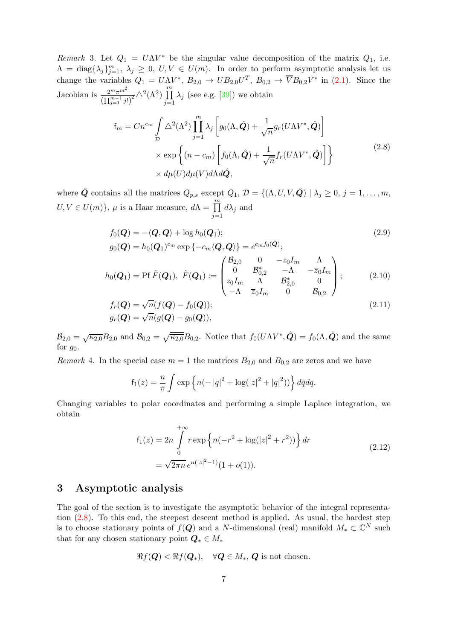Remark 3. Let  $Q_1 = UNV^*$  be the singular value decomposition of the matrix  $Q_1$ , i.e.  $\Lambda = \text{diag}\{\lambda_j\}_{j=1}^m$ ,  $\lambda_j \geq 0$ ,  $U, V \in U(m)$ . In order to perform asymptotic analysis let us change the variables  $Q_1 = U \Lambda V^*$ ,  $B_{2,0} \to U B_{2,0} U^T$ ,  $B_{0,2} \to \overline{V} B_{0,2} V^*$  in [\(2.1\)](#page-5-3). Since the Jacobian is  $\frac{2^m \pi^{m^2}}{\left(\prod_{j=1}^{m-1} j! \right)^2} \triangle^2(\Lambda^2) \prod_{j=1}^m$  $j=1$  $\lambda_j$  (see e.g. [\[39\]](#page-19-13)) we obtain

$$
f_m = Cn^{c_m} \int_{\mathcal{D}} \Delta^2(\Lambda^2) \prod_{j=1}^m \lambda_j \left[ g_0(\Lambda, \hat{\mathbf{Q}}) + \frac{1}{\sqrt{n}} g_r(U\Lambda V^*, \hat{\mathbf{Q}}) \right] \times \exp \left\{ (n - c_m) \left[ f_0(\Lambda, \hat{\mathbf{Q}}) + \frac{1}{\sqrt{n}} f_r(U\Lambda V^*, \hat{\mathbf{Q}}) \right] \right\} \times d\mu(U) d\mu(V) d\Lambda d\hat{\mathbf{Q}},
$$
\n(2.8)

<span id="page-6-1"></span>where  $\hat{\mathbf{Q}}$  contains all the matrices  $Q_{p,s}$  except  $Q_1$ ,  $\mathcal{D} = \{(\Lambda, U, V, \hat{\mathbf{Q}}) | \lambda_j \geq 0, j = 1, \ldots, m, \}$  $U, V \in U(m)$ ,  $\mu$  is a Haar measure,  $d\Lambda = \prod_{j=1}^{m}$  $d\lambda_j$  and

<span id="page-6-2"></span>
$$
f_0(\mathbf{Q}) = -\langle \mathbf{Q}, \mathbf{Q} \rangle + \log h_0(\mathbf{Q}_1);
$$
  
\n
$$
g_0(\mathbf{Q}) = h_0(\mathbf{Q}_1)^{cm} \exp \{-c_m \langle \mathbf{Q}, \mathbf{Q} \rangle\} = e^{c_m f_0(\mathbf{Q})};
$$
\n(2.9)

$$
h_0(Q_1) = \text{Pf }\tilde{F}(Q_1), \ \tilde{F}(Q_1) := \begin{pmatrix} \mathcal{B}_{2,0} & 0 & -z_0 I_m & \Lambda \\ 0 & \mathcal{B}_{0,2}^* & -\Lambda & -\overline{z}_0 I_m \\ z_0 I_m & \Lambda & \mathcal{B}_{2,0}^* & 0 \\ -\Lambda & \overline{z}_0 I_m & 0 & \mathcal{B}_{0,2} \end{pmatrix}; \tag{2.10}
$$

$$
f_r(\boldsymbol{Q}) = \sqrt{n}(f(\boldsymbol{Q}) - f_0(\boldsymbol{Q}));
$$
  
\n
$$
g_r(\boldsymbol{Q}) = \sqrt{n}(g(\boldsymbol{Q}) - g_0(\boldsymbol{Q})),
$$
\n(2.11)

 $\mathcal{B}_{2,0} = \sqrt{\kappa_{2,0}} B_{2,0}$  and  $\mathcal{B}_{0,2} = \sqrt{\kappa_{2,0}} B_{0,2}$ . Notice that  $f_0(U\Lambda V^*, \hat{\mathbf{Q}}) = f_0(\Lambda, \hat{\mathbf{Q}})$  and the same for  $g_0$ .

*Remark* 4. In the special case  $m = 1$  the matrices  $B_{2,0}$  and  $B_{0,2}$  are zeros and we have

<span id="page-6-4"></span><span id="page-6-3"></span>
$$
f_1(z) = \frac{n}{\pi} \int \exp \left\{ n(-|q|^2 + \log(|z|^2 + |q|^2)) \right\} d\bar{q} dq.
$$

Changing variables to polar coordinates and performing a simple Laplace integration, we obtain

$$
f_1(z) = 2n \int_0^{+\infty} r \exp \left\{ n(-r^2 + \log(|z|^2 + r^2)) \right\} dr
$$
  
=  $\sqrt{2\pi n} e^{n(|z|^2 - 1)} (1 + o(1)).$  (2.12)

### <span id="page-6-5"></span><span id="page-6-0"></span>3 Asymptotic analysis

The goal of the section is to investigate the asymptotic behavior of the integral representation [\(2.8\)](#page-6-1). To this end, the steepest descent method is applied. As usual, the hardest step is to choose stationary points of  $f(Q)$  and a N-dimensional (real) manifold  $M_* \subset \mathbb{C}^N$  such that for any chosen stationary point  $Q_* \in M_*$ 

$$
\Re f(\boldsymbol{Q}) < \Re f(\boldsymbol{Q}_*), \quad \forall \boldsymbol{Q} \in M_*, \boldsymbol{Q} \text{ is not chosen.}
$$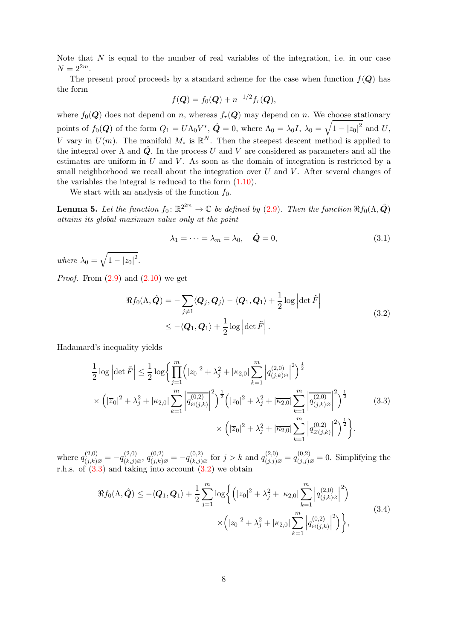Note that  $N$  is equal to the number of real variables of the integration, i.e. in our case  $N = 2^{2m}$ .

The present proof proceeds by a standard scheme for the case when function  $f(Q)$  has the form

$$
f(\boldsymbol{Q}) = f_0(\boldsymbol{Q}) + n^{-1/2} f_r(\boldsymbol{Q}),
$$

where  $f_0(Q)$  does not depend on n, whereas  $f_r(Q)$  may depend on n. We choose stationary points of  $f_0(Q)$  of the form  $Q_1 = U \Lambda_0 V^*$ ,  $\hat{Q} = 0$ , where  $\Lambda_0 = \lambda_0 I$ ,  $\lambda_0 = \sqrt{1 - |z_0|^2}$  and U, V vary in  $U(m)$ . The manifold  $M_*$  is  $\mathbb{R}^N$ . Then the steepest descent method is applied to the integral over  $\Lambda$  and  $\dot{Q}$ . In the process U and V are considered as parameters and all the estimates are uniform in  $U$  and  $V$ . As soon as the domain of integration is restricted by a small neighborhood we recall about the integration over  $U$  and  $V$ . After several changes of the variables the integral is reduced to the form [\(1.10\)](#page-3-1).

We start with an analysis of the function  $f_0$ .

<span id="page-7-4"></span>**Lemma 5.** Let the function  $f_0: \mathbb{R}^{2^{2m}} \to \mathbb{C}$  be defined by [\(2.9\)](#page-6-2). Then the function  $\Re f_0(\Lambda, \hat{Q})$ attains its global maximum value only at the point

<span id="page-7-3"></span>
$$
\lambda_1 = \dots = \lambda_m = \lambda_0, \quad \hat{\mathbf{Q}} = 0,
$$
\n(3.1)

where  $\lambda_0 = \sqrt{1 - |z_0|^2}$ .

*Proof.* From  $(2.9)$  and  $(2.10)$  we get

$$
\Re f_0(\Lambda, \hat{\mathbf{Q}}) = -\sum_{j \neq 1} \langle \mathbf{Q}_j, \mathbf{Q}_j \rangle - \langle \mathbf{Q}_1, \mathbf{Q}_1 \rangle + \frac{1}{2} \log \left| \det \tilde{F} \right|
$$
\n
$$
\leq -\langle \mathbf{Q}_1, \mathbf{Q}_1 \rangle + \frac{1}{2} \log \left| \det \tilde{F} \right|.
$$
\n(3.2)

<span id="page-7-1"></span>Hadamard's inequality yields

<span id="page-7-0"></span>
$$
\frac{1}{2}\log\left|\det\tilde{F}\right| \leq \frac{1}{2}\log\left\{\prod_{j=1}^{m}\left(|z_{0}|^{2}+\lambda_{j}^{2}+|\kappa_{2,0}|\sum_{k=1}^{m}\left|q_{(j,k)\varnothing}^{(2,0)}\right|^{2}\right)^{\frac{1}{2}}\right\}
$$
\n
$$
\times \left(|\overline{z}_{0}|^{2}+\lambda_{j}^{2}+|\kappa_{2,0}|\sum_{k=1}^{m}\left|q_{\varnothing(j,k)}^{(0,2)}\right|^{2}\right)^{\frac{1}{2}}\left(|z_{0}|^{2}+\lambda_{j}^{2}+|\overline{\kappa_{2,0}}|\sum_{k=1}^{m}\left|q_{(j,k)\varnothing}^{(2,0)}\right|^{2}\right)^{\frac{1}{2}}\right\}
$$
\n
$$
\times \left(|\overline{z}_{0}|^{2}+\lambda_{j}^{2}+|\overline{\kappa_{2,0}}|\sum_{k=1}^{m}\left|q_{\varnothing(j,k)}^{(0,2)}\right|^{2}\right)^{\frac{1}{2}}\right\}.
$$
\n(3.3)

where  $q_{(j,k)\varnothing}^{(2,0)} = -q_{(k,j)\varnothing}^{(2,0)}$ ,  $q_{(j,k)\varnothing}^{(0,2)} = -q_{(k,j)\varnothing}^{(0,2)}$  for  $j > k$  and  $q_{(j,j)\varnothing}^{(2,0)} = q_{(j,j)\varnothing}^{(0,2)} = 0$ . Simplifying the r.h.s. of  $(3.3)$  and taking into account  $(3.2)$  we obtain

<span id="page-7-2"></span>
$$
\Re f_0(\Lambda, \hat{Q}) \le -\langle Q_1, Q_1 \rangle + \frac{1}{2} \sum_{j=1}^m \log \left\{ \left( |z_0|^2 + \lambda_j^2 + |\kappa_{2,0}| \sum_{k=1}^m \left| q_{(j,k)\varnothing}^{(2,0)} \right|^2 \right) \times \left( |z_0|^2 + \lambda_j^2 + |\kappa_{2,0}| \sum_{k=1}^m \left| q_{\varnothing(j,k)}^{(0,2)} \right|^2 \right) \right\},\tag{3.4}
$$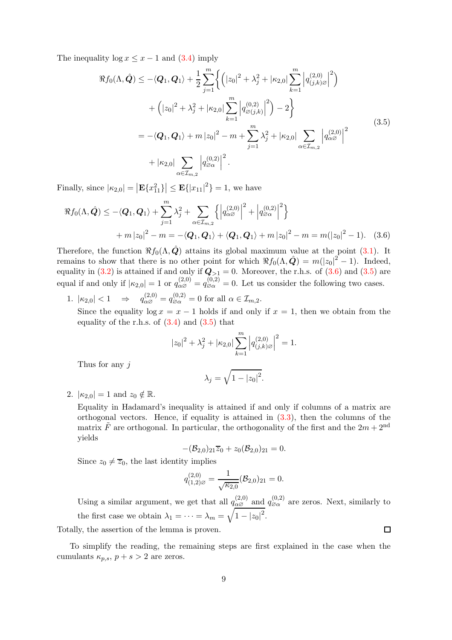<span id="page-8-1"></span>The inequality  $\log x \leq x - 1$  and [\(3.4\)](#page-7-2) imply

$$
\Re f_0(\Lambda, \hat{Q}) \le -\langle Q_1, Q_1 \rangle + \frac{1}{2} \sum_{j=1}^m \left\{ \left( |z_0|^2 + \lambda_j^2 + |\kappa_{2,0}| \sum_{k=1}^m \left| q_{(j,k)\varnothing}^{(2,0)} \right|^2 \right) \right.\n+ \left( |z_0|^2 + \lambda_j^2 + |\kappa_{2,0}| \sum_{k=1}^m \left| q_{\varnothing(j,k)}^{(0,2)} \right|^2 \right) - 2 \right\}\n= -\langle Q_1, Q_1 \rangle + m |z_0|^2 - m + \sum_{j=1}^m \lambda_j^2 + |\kappa_{2,0}| \sum_{\alpha \in \mathcal{I}_{m,2}} \left| q_{\alpha\varnothing}^{(2,0)} \right|^2\n+ |\kappa_{2,0}| \sum_{\alpha \in \mathcal{I}_{m,2}} \left| q_{\varnothing\alpha}^{(0,2)} \right|^2.
$$
\n(3.5)

Finally, since  $|\kappa_{2,0}| = |\mathbf{E}\{x_{11}^2\}| \leq \mathbf{E}\{|x_{11}|^2\} = 1$ , we have

$$
\Re f_0(\Lambda, \hat{\mathbf{Q}}) \le -\langle \mathbf{Q}_1, \mathbf{Q}_1 \rangle + \sum_{j=1}^m \lambda_j^2 + \sum_{\alpha \in \mathcal{I}_{m,2}} \left\{ \left| q_{\alpha \beta}^{(2,0)} \right|^2 + \left| q_{\beta \alpha}^{(0,2)} \right|^2 \right\}
$$
  
+  $m |z_0|^2 - m = -\langle \mathbf{Q}_1, \mathbf{Q}_1 \rangle + \langle \mathbf{Q}_1, \mathbf{Q}_1 \rangle + m |z_0|^2 - m = m(|z_0|^2 - 1).$  (3.6)

Therefore, the function  $\Re f_0(\Lambda, \hat{\mathbf{Q}})$  attains its global maximum value at the point [\(3.1\)](#page-7-3). It remains to show that there is no other point for which  $\Re f_0(\Lambda, \hat{Q}) = m(|z_0|^2 - 1)$ . Indeed, equality in [\(3.2\)](#page-7-1) is attained if and only if  $Q_{>1} = 0$ . Moreover, the r.h.s. of [\(3.6\)](#page-8-0) and [\(3.5\)](#page-8-1) are equal if and only if  $|\kappa_{2,0}| = 1$  or  $q_{\alpha\beta}^{(2,0)} = q_{\beta\alpha}^{(0,2)} = 0$ . Let us consider the following two cases.

1.  $|\kappa_{2,0}| < 1 \implies q_{\alpha\varnothing}^{(2,0)} = q_{\varnothing\alpha}^{(0,2)} = 0$  for all  $\alpha \in \mathcal{I}_{m,2}$ .

Since the equality  $\log x = x - 1$  holds if and only if  $x = 1$ , then we obtain from the equality of the r.h.s. of  $(3.4)$  and  $(3.5)$  that

$$
|z_0|^2 + \lambda_j^2 + |\kappa_{2,0}| \sum_{k=1}^m \left| q_{(j,k)\varnothing}^{(2,0)} \right|^2 = 1.
$$

Thus for any j

<span id="page-8-0"></span>
$$
\lambda_j = \sqrt{1 - |z_0|^2}.
$$

2.  $|\kappa_{2,0}| = 1$  and  $z_0 \notin \mathbb{R}$ .

Equality in Hadamard's inequality is attained if and only if columns of a matrix are orthogonal vectors. Hence, if equality is attained in  $(3.3)$ , then the columns of the matrix  $\tilde{F}$  are orthogonal. In particular, the orthogonality of the first and the  $2m + 2<sup>nd</sup>$ yields

$$
-(\mathcal{B}_{2,0})_{21}\overline{z}_0+z_0(\mathcal{B}_{2,0})_{21}=0.
$$

Since  $z_0 \neq \overline{z}_0$ , the last identity implies

$$
q_{(1,2)\varnothing}^{(2,0)} = \frac{1}{\sqrt{\kappa_{2,0}}} (\mathcal{B}_{2,0})_{21} = 0.
$$

Using a similar argument, we get that all  $q_{\alpha\beta}^{(2,0)}$  and  $q_{\beta\alpha}^{(0,2)}$  are zeros. Next, similarly to the first case we obtain  $\lambda_1 = \cdots = \lambda_m = \sqrt{1 - |z_0|^2}$ .

Totally, the assertion of the lemma is proven.

To simplify the reading, the remaining steps are first explained in the case when the cumulants  $\kappa_{p,s}, p+s>2$  are zeros.

 $\Box$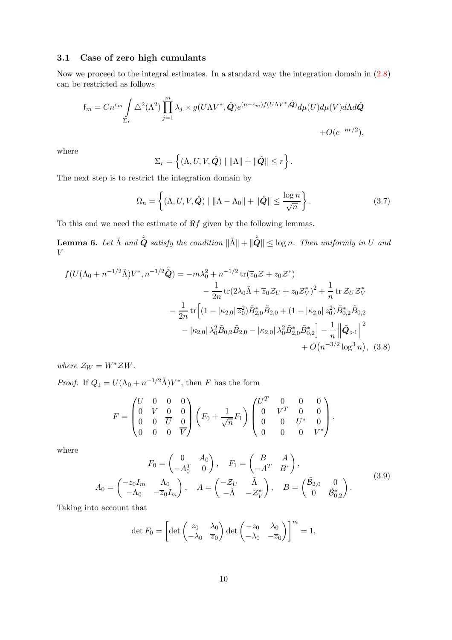#### 3.1 Case of zero high cumulants

Now we proceed to the integral estimates. In a standard way the integration domain in [\(2.8\)](#page-6-1) can be restricted as follows

$$
f_m = Cn^{c_m} \int_{\Sigma_r} \Delta^2(\Lambda^2) \prod_{j=1}^m \lambda_j \times g(U\Lambda V^*, \hat{\mathbf{Q}}) e^{(n-c_m)f(U\Lambda V^*, \hat{\mathbf{Q}})} d\mu(U) d\mu(V) d\Lambda d\hat{\mathbf{Q}} + O(e^{-nr/2}),
$$

where

$$
\Sigma_r = \left\{ (\Lambda, U, V, \hat{\boldsymbol{Q}}) \mid \|\Lambda\| + \|\hat{\boldsymbol{Q}}\| \leq r \right\}.
$$

The next step is to restrict the integration domain by

<span id="page-9-2"></span>
$$
\Omega_n = \left\{ (\Lambda, U, V, \hat{\mathbf{Q}}) \mid \|\Lambda - \Lambda_0\| + \|\hat{\mathbf{Q}}\| \le \frac{\log n}{\sqrt{n}} \right\}.
$$
\n(3.7)

To this end we need the estimate of  $\Re f$  given by the following lemmas.

<span id="page-9-1"></span>**Lemma 6.** Let  $\tilde{\Lambda}$  and  $\hat{\tilde{Q}}$  satisfy the condition  $\|\tilde{\Lambda}\| + \|\hat{\tilde{Q}}\| \le \log n$ . Then uniformly in U and V

$$
f(U(\Lambda_0 + n^{-1/2}\tilde{\Lambda})V^*, n^{-1/2}\hat{\tilde{Q}}) = -m\lambda_0^2 + n^{-1/2} \operatorname{tr}(\overline{z}_0 \mathcal{Z} + z_0 \mathcal{Z}^*)
$$
  

$$
- \frac{1}{2n} \operatorname{tr}(2\lambda_0 \tilde{\Lambda} + \overline{z}_0 \mathcal{Z}_U + z_0 \mathcal{Z}_V^*)^2 + \frac{1}{n} \operatorname{tr} \mathcal{Z}_U \mathcal{Z}_V^*
$$
  

$$
- \frac{1}{2n} \operatorname{tr} \Big[ (1 - |\kappa_{2,0}| \overline{z}_0^2) \tilde{B}_{2,0}^* \tilde{B}_{2,0} + (1 - |\kappa_{2,0}| z_0^2) \tilde{B}_{0,2}^* \tilde{B}_{0,2}
$$
  

$$
- |\kappa_{2,0}| \lambda_0^2 \tilde{B}_{0,2} \tilde{B}_{2,0} - |\kappa_{2,0}| \lambda_0^2 \tilde{B}_{2,0}^* \tilde{B}_{0,2}^* \Big] - \frac{1}{n} \left\| \tilde{Q}_{>1} \right\|^2
$$
  

$$
+ O(n^{-3/2} \log^3 n), \quad (3.8)
$$

where  $\mathcal{Z}_W = W^* \mathcal{Z} W$ .

*Proof.* If  $Q_1 = U(\Lambda_0 + n^{-1/2}\tilde{\Lambda})V^*$ , then F has the form

<span id="page-9-0"></span>
$$
F = \begin{pmatrix} U & 0 & 0 & 0 \\ 0 & V & 0 & 0 \\ 0 & 0 & \overline{U} & 0 \\ 0 & 0 & 0 & \overline{V} \end{pmatrix} \left( F_0 + \frac{1}{\sqrt{n}} F_1 \right) \begin{pmatrix} U^T & 0 & 0 & 0 \\ 0 & V^T & 0 & 0 \\ 0 & 0 & U^* & 0 \\ 0 & 0 & 0 & V^* \end{pmatrix},
$$

where

<span id="page-9-3"></span>
$$
F_0 = \begin{pmatrix} 0 & A_0 \ -A_0^T & 0 \end{pmatrix}, \quad F_1 = \begin{pmatrix} B & A \ -A^T & B^* \end{pmatrix},
$$
  
\n
$$
A_0 = \begin{pmatrix} -z_0 I_m & \Lambda_0 \ -\Lambda_0 & -\overline{z}_0 I_m \end{pmatrix}, \quad A = \begin{pmatrix} -\mathcal{Z}_U & \tilde{\Lambda} \\ -\tilde{\Lambda} & -\mathcal{Z}_V^* \end{pmatrix}, \quad B = \begin{pmatrix} \tilde{B}_{2,0} & 0 \\ 0 & \tilde{B}_{0,2}^* \end{pmatrix}.
$$
\n(3.9)

Taking into account that

$$
\det F_0 = \left[ \det \begin{pmatrix} z_0 & \lambda_0 \\ -\lambda_0 & \overline{z}_0 \end{pmatrix} \det \begin{pmatrix} -z_0 & \lambda_0 \\ -\lambda_0 & -\overline{z}_0 \end{pmatrix} \right]^m = 1,
$$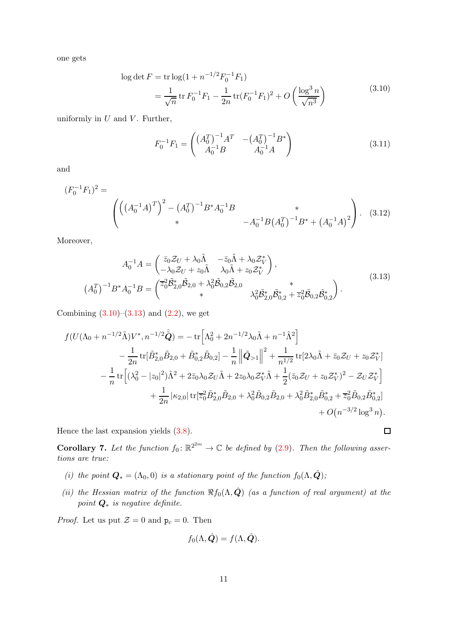<span id="page-10-0"></span>one gets

$$
\log \det F = \text{tr} \log(1 + n^{-1/2} F_0^{-1} F_1)
$$
  
=  $\frac{1}{\sqrt{n}} \text{tr} F_0^{-1} F_1 - \frac{1}{2n} \text{tr} (F_0^{-1} F_1)^2 + O\left(\frac{\log^3 n}{\sqrt{n^3}}\right)$  (3.10)

uniformly in  $U$  and  $V$ . Further,

$$
F_0^{-1}F_1 = \begin{pmatrix} \left(A_0^T\right)^{-1} A^T & -\left(A_0^T\right)^{-1} B^* \\ A_0^{-1} B & A_0^{-1} A \end{pmatrix} \tag{3.11}
$$

and

$$
(F_0^{-1}F_1)^2 = \begin{pmatrix} ((A_0^{-1}A)^T)^2 - (A_0^T)^{-1}B^*A_0^{-1}B & * \\ * & -A_0^{-1}B(A_0^T)^{-1}B^* + (A_0^{-1}A)^2 \end{pmatrix}.
$$
 (3.12)

Moreover,

<span id="page-10-1"></span>
$$
A_0^{-1}A = \begin{pmatrix} \bar{z}_0 \mathcal{Z}_U + \lambda_0 \tilde{\Lambda} & -\bar{z}_0 \tilde{\Lambda} + \lambda_0 \mathcal{Z}_V^* \\ -\lambda_0 \mathcal{Z}_U + z_0 \tilde{\Lambda} & \lambda_0 \tilde{\Lambda} + z_0 \mathcal{Z}_V^* \end{pmatrix},
$$
  
\n
$$
(A_0^T)^{-1} B^* A_0^{-1} B = \begin{pmatrix} \bar{z}_0^2 \tilde{\mathcal{B}}_{2,0}^* \tilde{\mathcal{B}}_{2,0} + \lambda_0^2 \tilde{\mathcal{B}}_{0,2} \tilde{\mathcal{B}}_{2,0} & * \\ * & \lambda_0^2 \tilde{\mathcal{B}}_{2,0}^* \tilde{\mathcal{B}}_{0,2}^* + \bar{z}_0^2 \tilde{\mathcal{B}}_{0,2} \tilde{\mathcal{B}}_{0,2}^* \end{pmatrix}.
$$
\n(3.13)

Combining  $(3.10)$ – $(3.13)$  and  $(2.2)$ , we get

$$
f(U(\Lambda_0 + n^{-1/2}\tilde{\Lambda})V^*, n^{-1/2}\hat{\tilde{Q}}) = -\operatorname{tr}\left[\Lambda_0^2 + 2n^{-1/2}\lambda_0\tilde{\Lambda} + n^{-1}\tilde{\Lambda}^2\right] - \frac{1}{2n}\operatorname{tr}[\tilde{B}_{2,0}^*\tilde{B}_{2,0} + \tilde{B}_{0,2}^*\tilde{B}_{0,2}] - \frac{1}{n}\left\|\tilde{Q}_{>1}\right\|^2 + \frac{1}{n^{1/2}}\operatorname{tr}[2\lambda_0\tilde{\Lambda} + \bar{z}_0\mathcal{Z}_U + z_0\mathcal{Z}_V^*] - \frac{1}{n}\operatorname{tr}\left[(\lambda_0^2 - |z_0|^2)\tilde{\Lambda}^2 + 2\bar{z}_0\lambda_0\mathcal{Z}_U\tilde{\Lambda} + 2z_0\lambda_0\mathcal{Z}_V^*\tilde{\Lambda} + \frac{1}{2}(\bar{z}_0\mathcal{Z}_U + z_0\mathcal{Z}_V^*)^2 - \mathcal{Z}_U\mathcal{Z}_V^*\right] + \frac{1}{2n}|\kappa_{2,0}|\operatorname{tr}[\overline{z}_0^2\tilde{B}_{2,0}^*\tilde{B}_{2,0} + \lambda_0^2\tilde{B}_{0,2}\tilde{B}_{2,0} + \lambda_0^2\tilde{B}_{2,0}^*\tilde{B}_{0,2}^* + \overline{z}_0^2\tilde{B}_{0,2}\tilde{B}_{0,2}^*\right] + O(n^{-3/2}\log^3 n).
$$

Hence the last expansion yields [\(3.8\)](#page-9-0).

<span id="page-10-4"></span>**Corollary 7.** Let the function  $f_0: \mathbb{R}^{2^{2m}} \to \mathbb{C}$  be defined by [\(2.9\)](#page-6-2). Then the following assertions are true:

- <span id="page-10-3"></span><span id="page-10-2"></span>(i) the point  $\mathbf{Q}_* = (\Lambda_0, 0)$  is a stationary point of the function  $f_0(\Lambda, \hat{\mathbf{Q}})$ ;
- (ii) the Hessian matrix of the function  $\Re f_0(\Lambda, \hat{Q})$  (as a function of real argument) at the point  $\mathbf{Q}_*$  is negative definite.

*Proof.* Let us put  $\mathcal{Z} = 0$  and  $p_c = 0$ . Then

$$
f_0(\Lambda, \hat{\bm{Q}}) = f(\Lambda, \hat{\bm{Q}}).
$$

 $\Box$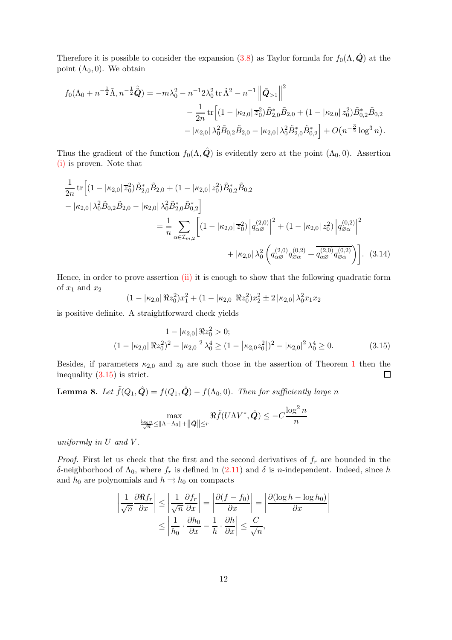Therefore it is possible to consider the expansion [\(3.8\)](#page-9-0) as Taylor formula for  $f_0(\Lambda, \hat{\mathbf{Q}})$  at the point  $(\Lambda_0, 0)$ . We obtain

$$
f_0(\Lambda_0 + n^{-\frac{1}{2}}\tilde{\Lambda}, n^{-\frac{1}{2}}\hat{\tilde{Q}}) = -m\lambda_0^2 - n^{-1}2\lambda_0^2 \operatorname{tr} \tilde{\Lambda}^2 - n^{-1} \left\| \tilde{Q}_{>1} \right\|^2
$$
  

$$
- \frac{1}{2n} \operatorname{tr} \left[ (1 - |\kappa_{2,0}| \bar{z}_0^2) \tilde{B}_{2,0}^* \tilde{B}_{2,0} + (1 - |\kappa_{2,0}| z_0^2) \tilde{B}_{0,2}^* \tilde{B}_{0,2}
$$
  

$$
- |\kappa_{2,0}| \lambda_0^2 \tilde{B}_{0,2} \tilde{B}_{2,0} - |\kappa_{2,0}| \lambda_0^2 \tilde{B}_{2,0}^* \tilde{B}_{0,2}^* \right] + O(n^{-\frac{3}{2}} \log^3 n).
$$

Thus the gradient of the function  $f_0(\Lambda, \hat{Q})$  is evidently zero at the point  $(\Lambda_0, 0)$ . Assertion [\(i\)](#page-10-2) is proven. Note that

$$
\frac{1}{2n} \operatorname{tr} \left[ (1 - |\kappa_{2,0}| \overline{z}_0^2) \tilde{B}_{2,0}^* \tilde{B}_{2,0} + (1 - |\kappa_{2,0}| z_0^2) \tilde{B}_{0,2}^* \tilde{B}_{0,2} - |\kappa_{2,0}| \lambda_0^2 \tilde{B}_{0,2} \tilde{B}_{2,0} - |\kappa_{2,0}| \lambda_0^2 \tilde{B}_{2,0}^* \tilde{B}_{0,2}^* \right]
$$
\n
$$
= \frac{1}{n} \sum_{\alpha \in \mathcal{I}_{m,2}} \left[ (1 - |\kappa_{2,0}| \overline{z}_0^2) \left| q_{\alpha\beta}^{(2,0)} \right|^2 + (1 - |\kappa_{2,0}| z_0^2) \left| q_{\beta\alpha}^{(0,2)} \right|^2 + |\kappa_{2,0}| \lambda_0^2 \left( q_{\alpha\beta}^{(2,0)} q_{\beta\alpha}^{(0,2)} + \overline{q_{\alpha\beta}^{(2,0)} q_{\beta\alpha}^{(0,2)}} \right) \right]. \tag{3.14}
$$

Hence, in order to prove assertion [\(ii\)](#page-10-3) it is enough to show that the following quadratic form of  $x_1$  and  $x_2$ 

<span id="page-11-2"></span>
$$
(1 - |\kappa_{2,0}| \Re z_0^2) x_1^2 + (1 - |\kappa_{2,0}| \Re z_0^2) x_2^2 \pm 2 |\kappa_{2,0}| \lambda_0^2 x_1 x_2
$$

is positive definite. A straightforward check yields

$$
1 - |\kappa_{2,0}| \Re z_0^2 > 0;
$$
  
\n
$$
(1 - |\kappa_{2,0}| \Re z_0^2)^2 - |\kappa_{2,0}|^2 \lambda_0^4 \ge (1 - |\kappa_{2,0} z_0^2|)^2 - |\kappa_{2,0}|^2 \lambda_0^4 \ge 0.
$$
\n(3.15)

Besides, if parameters  $\kappa_{2,0}$  and  $z_0$  are such those in the assertion of Theorem [1](#page-3-2) then the inequality [\(3.15\)](#page-11-0) is strict.  $\Box$ 

<span id="page-11-1"></span>**Lemma 8.** Let  $\tilde{f}(Q_1, \hat{Q}) = f(Q_1, \hat{Q}) - f(\Lambda_0, 0)$ . Then for sufficiently large n

<span id="page-11-0"></span>
$$
\max_{\frac{\log n}{\sqrt{n}} \leq ||\Lambda - \Lambda_0|| + ||\hat{\mathbf{Q}}|| \leq r} \Re \tilde{f}(U\Lambda V^*, \hat{\mathbf{Q}}) \leq -C \frac{\log^2 n}{n}
$$

uniformly in  $U$  and  $V$ .

*Proof.* First let us check that the first and the second derivatives of  $f_r$  are bounded in the δ-neighborhood of  $Λ_0$ , where  $f_r$  is defined in [\(2.11\)](#page-6-4) and δ is n-independent. Indeed, since h and  $h_0$  are polynomials and  $h \rightrightarrows h_0$  on compacts

$$
\left| \frac{1}{\sqrt{n}} \frac{\partial \Re f_r}{\partial x} \right| \le \left| \frac{1}{\sqrt{n}} \frac{\partial f_r}{\partial x} \right| = \left| \frac{\partial (f - f_0)}{\partial x} \right| = \left| \frac{\partial (\log h - \log h_0)}{\partial x} \right|
$$

$$
\le \left| \frac{1}{h_0} \cdot \frac{\partial h_0}{\partial x} - \frac{1}{h} \cdot \frac{\partial h}{\partial x} \right| \le \frac{C}{\sqrt{n}},
$$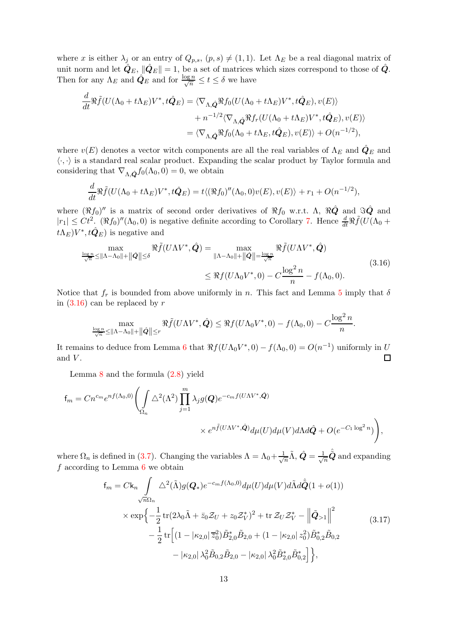where x is either  $\lambda_j$  or an entry of  $Q_{p,s}$ ,  $(p, s) \neq (1, 1)$ . Let  $\Lambda_E$  be a real diagonal matrix of unit norm and let  $\hat{\mathbf{Q}}_E$ ,  $\|\hat{\mathbf{Q}}_E\|=1$ , be a set of matrices which sizes correspond to those of  $\hat{\mathbf{Q}}$ . Then for any  $\Lambda_E$  and  $\hat{Q}_E$  and for  $\frac{\log n}{\sqrt{n}} \le t \le \delta$  we have

$$
\frac{d}{dt}\Re\tilde{f}(U(\Lambda_0+t\Lambda_E)V^*,t\hat{Q}_E) = \langle \nabla_{\Lambda,\hat{Q}}\Re f_0(U(\Lambda_0+t\Lambda_E)V^*,t\hat{Q}_E),v(E)\rangle \n+ n^{-1/2}\langle \nabla_{\Lambda,\hat{Q}}\Re f_r(U(\Lambda_0+t\Lambda_E)V^*,t\hat{Q}_E),v(E)\rangle \n= \langle \nabla_{\Lambda,\hat{Q}}\Re f_0(\Lambda_0+t\Lambda_E,t\hat{Q}_E),v(E)\rangle + O(n^{-1/2}),
$$

where  $v(E)$  denotes a vector witch components are all the real variables of  $\Lambda_E$  and  $\mathbf{Q}_E$  and  $\langle \cdot, \cdot \rangle$  is a standard real scalar product. Expanding the scalar product by Taylor formula and considering that  $\nabla_{\Lambda,\hat{\mathbf{Q}}} f_0(\Lambda_0, 0) = 0$ , we obtain

$$
\frac{d}{dt}\Re\tilde{f}(U(\Lambda_0+t\Lambda_E)V^*,t\hat{Q}_E)=t\langle (\Re f_0)''(\Lambda_0,0)v(E),v(E)\rangle+r_1+O(n^{-1/2}),
$$

where  $(\Re f_0)''$  is a matrix of second order derivatives of  $\Re f_0$  w.r.t.  $\Lambda$ ,  $\Re \hat{Q}$  and  $\Im \hat{Q}$  and  $|r_1| \leq Ct^2$ .  $(\Re f_0)''(\Lambda_0, 0)$  is negative definite according to Corollary [7.](#page-10-4) Hence  $\frac{d}{dt}\Re \tilde{f}(U(\Lambda_0 +$  $t\Lambda_E$ ) $V^*, t\hat{\mathbf{Q}}_E$ ) is negative and

<span id="page-12-0"></span>
$$
\max_{\frac{\log n}{\sqrt{n}} \le \|\Lambda - \Lambda_0\| + \|\hat{\mathbf{Q}}\| \le \delta} \Re \tilde{f}(U\Lambda V^*, \hat{\mathbf{Q}}) = \max_{\|\Lambda - \Lambda_0\| + \|\hat{\mathbf{Q}}\| = \frac{\log n}{\sqrt{n}}} \Re \tilde{f}(U\Lambda V^*, \hat{\mathbf{Q}})
$$
\n
$$
\le \Re f(U\Lambda_0 V^*, 0) - C \frac{\log^2 n}{n} - f(\Lambda_0, 0). \tag{3.16}
$$

Notice that  $f_r$  is bounded from above uniformly in n. This fact and Lemma [5](#page-7-4) imply that  $\delta$ in  $(3.16)$  can be replaced by r

$$
\max_{\frac{\log n}{\sqrt{n}}\leq ||\Lambda-\Lambda_0||+||\hat{\mathbf{Q}}||\leq r} \Re \tilde{f}(U\Lambda V^*,\hat{\mathbf{Q}})\leq \Re f(U\Lambda_0V^*,0)-f(\Lambda_0,0)-C\frac{\log^2 n}{n}.
$$

It remains to deduce from Lemma [6](#page-9-1) that  $\Re f(U\Lambda_0 V^*, 0) - f(\Lambda_0, 0) = O(n^{-1})$  uniformly in U  $\Box$ and  $V$ .

Lemma  $8$  and the formula  $(2.8)$  yield

$$
f_m = Cn^{cm}e^{nf(\Lambda_0,0)} \left( \int_{\Omega_n} \Delta^2(\Lambda^2) \prod_{j=1}^m \lambda_j g(Q) e^{-c_m f(U\Lambda V^*, \hat{Q})} \times e^{n\tilde{f}(U\Lambda V^*, \hat{Q})} d\mu(U) d\mu(V) d\Lambda d\hat{Q} + O(e^{-C_1 \log^2 n}) \right),
$$

where  $\Omega_n$  is defined in [\(3.7\)](#page-9-2). Changing the variables  $\Lambda = \Lambda_0 + \frac{1}{\sqrt{2}}$  $\frac{1}{n}\tilde{\Lambda}, \hat{\bm{Q}} = \frac{1}{\sqrt{n}}\hat{\tilde{\bm{Q}}}$  and expanding  $f$  according to Lemma  $6$  we obtain

<span id="page-12-1"></span>
$$
f_m = Ck_n \int \Delta^2(\tilde{\Lambda}) g(Q_*) e^{-c_m f(\Lambda_0, 0)} d\mu(U) d\mu(V) d\tilde{\Lambda} d\hat{Q}(1 + o(1))
$$
  
\n
$$
\times \exp \left\{ -\frac{1}{2} \text{tr} (2\lambda_0 \tilde{\Lambda} + \bar{z}_0 Z_U + z_0 Z_V^*)^2 + \text{tr} Z_U Z_V^* - \left\| \tilde{Q}_{>1} \right\|^2 - \frac{1}{2} \text{tr} \left[ (1 - |\kappa_{2,0}| \bar{z}_0^2) \tilde{B}_{2,0}^* \tilde{B}_{2,0} + (1 - |\kappa_{2,0}| z_0^2) \tilde{B}_{0,2}^* \tilde{B}_{0,2} - |\kappa_{2,0}| \lambda_0^2 \tilde{B}_{0,2} \tilde{B}_{2,0} - |\kappa_{2,0}| \lambda_0^2 \tilde{B}_{2,0}^* \tilde{B}_{0,2}^* \right\},
$$
\n(3.17)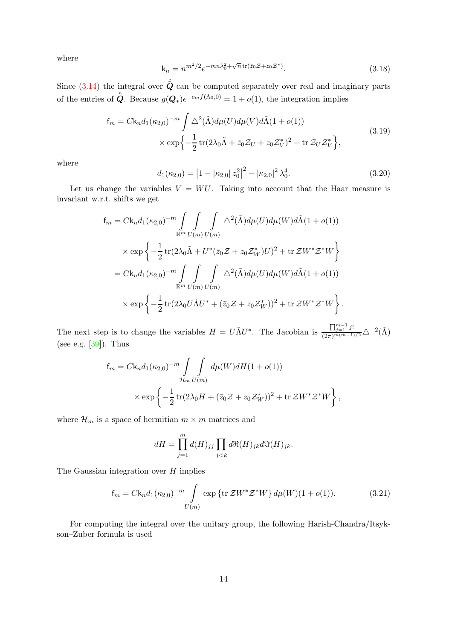where

<span id="page-13-1"></span>
$$
\mathbf{k}_n = n^{m^2/2} e^{-mn\lambda_0^2 + \sqrt{n}\operatorname{tr}(\bar{z}_0 \mathcal{Z} + z_0 \mathcal{Z}^*)}.
$$
\n(3.18)

Since  $(3.14)$  the integral over  $\hat{Q}$  can be computed separately over real and imaginary parts of the entries of  $\hat{Q}$ . Because  $g(Q_*)e^{-c_m f(\Lambda_0,0)} = 1 + o(1)$ , the integration implies

$$
f_m = C k_n d_1(\kappa_{2,0})^{-m} \int \Delta^2(\tilde{\Lambda}) d\mu(U) d\mu(V) d\tilde{\Lambda}(1 + o(1))
$$
  
 
$$
\times \exp\left\{-\frac{1}{2} \operatorname{tr}(2\lambda_0 \tilde{\Lambda} + \bar{z}_0 \mathcal{Z}_U + z_0 \mathcal{Z}_V^*)^2 + \operatorname{tr} \mathcal{Z}_U \mathcal{Z}_V^* \right\},
$$
(3.19)

<span id="page-13-2"></span>where

$$
d_1(\kappa_{2,0}) = |1 - |\kappa_{2,0}| \, z_0^2|^2 - |\kappa_{2,0}|^2 \, \lambda_0^4. \tag{3.20}
$$

Let us change the variables  $V = WU$ . Taking into account that the Haar measure is invariant w.r.t. shifts we get

$$
f_m = C k_n d_1(\kappa_{2,0})^{-m} \int \int \int \int \Delta^2(\tilde{\Lambda}) d\mu(U) d\mu(W) d\tilde{\Lambda}(1+o(1))
$$
  
 
$$
\times \exp \left\{-\frac{1}{2} \text{tr}(2\lambda_0 \tilde{\Lambda} + U^* (\bar{z}_0 \mathcal{Z} + z_0 \mathcal{Z}_W^*) U)^2 + \text{tr} \mathcal{Z} W^* \mathcal{Z}^* W \right\}
$$
  

$$
= C k_n d_1(\kappa_{2,0})^{-m} \int \int \int \Delta^2(\tilde{\Lambda}) d\mu(U) d\mu(W) d\tilde{\Lambda}(1+o(1))
$$
  

$$
\times \exp \left\{-\frac{1}{2} \text{tr}(2\lambda_0 U \tilde{\Lambda} U^* + (\bar{z}_0 \mathcal{Z} + z_0 \mathcal{Z}_W^*))^2 + \text{tr} \mathcal{Z} W^* \mathcal{Z}^* W \right\}.
$$

The next step is to change the variables  $H = U \tilde{\Lambda} U^*$ . The Jacobian is  $\frac{\prod_{j=1}^{m-1} j!}{(2\pi)^{m(m-1)/2}} \Delta^{-2}(\tilde{\Lambda})$ (see e.g.  $[39]$ ). Thus

$$
f_m = C k_n d_1(\kappa_{2,0})^{-m} \int \int \int \mathcal{d}\mu(W) dH (1 + o(1))
$$
  
 
$$
\times \exp \left\{-\frac{1}{2} \text{tr}(2\lambda_0 H + (\bar{z}_0 Z + z_0 Z_W^*))^2 + \text{tr} Z W^* Z^* W\right\},
$$

where  $\mathcal{H}_m$  is a space of hermitian  $m \times m$  matrices and

$$
dH = \prod_{j=1}^{m} d(H)_{jj} \prod_{j < k} d\Re(H)_{jk} d\Im(H)_{jk}.
$$

The Gaussian integration over  $H$  implies

<span id="page-13-0"></span>
$$
f_m = C k_n d_1(\kappa_{2,0})^{-m} \int_{U(m)} \exp \{ \text{tr} \, \mathcal{Z} W^* \mathcal{Z}^* W \} d\mu(W) (1 + o(1)). \tag{3.21}
$$

For computing the integral over the unitary group, the following Harish-Chandra/Itsykson–Zuber formula is used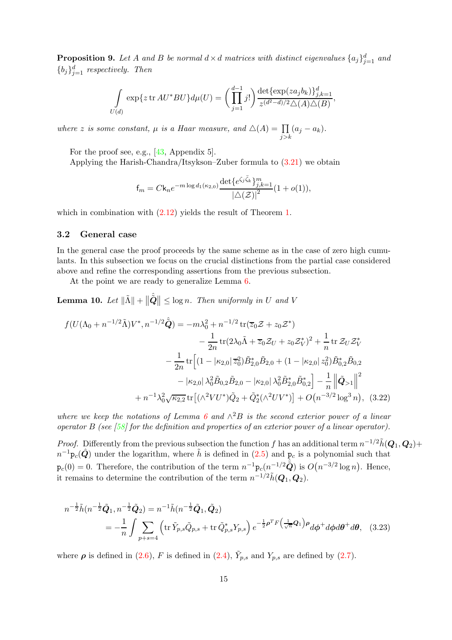**Proposition 9.** Let A and B be normal  $d \times d$  matrices with distinct eigenvalues  $\{a_j\}_{j=1}^d$  and  ${b_j}_{j=1}^d$  respectively. Then

$$
\int_{U(d)} \exp\{z \operatorname{tr} AU^* BU\} d\mu(U) = \left(\prod_{j=1}^{d-1} j!\right) \frac{\det\{\exp(za_j b_k)\}_{j,k=1}^d}{z^{(d^2-d)/2} \triangle(A) \triangle(B)},
$$

where z is some constant,  $\mu$  is a Haar measure, and  $\Delta(A) = \prod_{j > k} (a_j - a_k)$ .

For the proof see, e.g., [\[43,](#page-19-14) Appendix 5].

Applying the Harish-Chandra/Itsykson–Zuber formula to [\(3.21\)](#page-13-0) we obtain

$$
f_m = C k_n e^{-m \log d_1(\kappa_{2,0})} \frac{\det \{ e^{\zeta_j \bar{\zeta}_k} \}_{j,k=1}^m}{\left| \Delta(\mathcal{Z}) \right|^2} (1 + o(1)),
$$

which in combination with  $(2.12)$  yields the result of Theorem [1.](#page-3-2)

#### 3.2 General case

In the general case the proof proceeds by the same scheme as in the case of zero high cumulants. In this subsection we focus on the crucial distinctions from the partial case considered above and refine the corresponding assertions from the previous subsection.

At the point we are ready to generalize Lemma [6.](#page-9-1)

**Lemma 10.** Let  $\|\tilde{\mathbf{\Lambda}}\| + \|\hat{\tilde{\mathbf{Q}}}\| \leq \log n$ . Then uniformly in U and V

<span id="page-14-1"></span>
$$
f(U(\Lambda_0 + n^{-1/2}\tilde{\Lambda})V^*, n^{-1/2}\hat{\tilde{Q}}) = -m\lambda_0^2 + n^{-1/2} \operatorname{tr}(\overline{z}_0 \mathcal{Z} + z_0 \mathcal{Z}^*)
$$
  

$$
- \frac{1}{2n} \operatorname{tr}(2\lambda_0 \tilde{\Lambda} + \overline{z}_0 \mathcal{Z}_U + z_0 \mathcal{Z}_V^*)^2 + \frac{1}{n} \operatorname{tr} \mathcal{Z}_U \mathcal{Z}_V^*
$$
  

$$
- \frac{1}{2n} \operatorname{tr} \Big[ (1 - |\kappa_{2,0}| \overline{z}_0^2) \tilde{B}_{2,0}^* \tilde{B}_{2,0} + (1 - |\kappa_{2,0}| z_0^2) \tilde{B}_{0,2}^* \tilde{B}_{0,2}
$$
  

$$
- |\kappa_{2,0}| \lambda_0^2 \tilde{B}_{0,2} \tilde{B}_{2,0} - |\kappa_{2,0}| \lambda_0^2 \tilde{B}_{2,0}^* \tilde{B}_{0,2}^* \Big] - \frac{1}{n} \left\| \tilde{Q}_{>1} \right\|^2
$$
  

$$
+ n^{-1} \lambda_0^2 \sqrt{\kappa_{2,2}} \operatorname{tr} \big[ (\wedge^2 VU^*) \tilde{Q}_2 + \tilde{Q}_2^* (\wedge^2 UV^*) \big] + O(n^{-3/2} \log^3 n), \quad (3.22)
$$

where we keep the notations of Lemma [6](#page-9-1) and  $\wedge^2 B$  is the second exterior power of a linear operator B (see  $[58]$  for the definition and properties of an exterior power of a linear operator).

*Proof.* Differently from the previous subsection the function f has an additional term  $n^{-1/2} \tilde{h}(Q_1, Q_2)$ +  $n^{-1}$  $p_c(\hat{Q})$  under the logarithm, where  $\tilde{h}$  is defined in [\(2.5\)](#page-5-5) and  $p_c$  is a polynomial such that  $p_c(0) = 0$ . Therefore, the contribution of the term  $n^{-1}p_c(n^{-1/2}\hat{Q})$  is  $O(n^{-3/2}\log n)$ . Hence, it remains to determine the contribution of the term  $n^{-1/2} \tilde{h}(\mathbf{Q}_1, \mathbf{Q}_2)$ .

<span id="page-14-0"></span>
$$
n^{-\frac{1}{2}}\tilde{h}(n^{-\frac{1}{2}}\tilde{Q}_{1}, n^{-\frac{1}{2}}\tilde{Q}_{2}) = n^{-1}\tilde{h}(n^{-\frac{1}{2}}\tilde{Q}_{1}, \tilde{Q}_{2})
$$
  
= 
$$
-\frac{1}{n}\int \sum_{p+s=4} \left(\text{tr}\,\tilde{Y}_{p,s}\tilde{Q}_{p,s} + \text{tr}\,\tilde{Q}_{p,s}^{*}Y_{p,s}\right) e^{-\frac{1}{2}\rho^{T}F\left(\frac{1}{\sqrt{n}}Q_{1}\right)\rho} d\phi^{+} d\phi d\theta^{+} d\theta, \quad (3.23)
$$

where  $\rho$  is defined in [\(2.6\)](#page-5-6), F is defined in [\(2.4\)](#page-5-2),  $\tilde{Y}_{p,s}$  and  $Y_{p,s}$  are defined by [\(2.7\)](#page-5-7).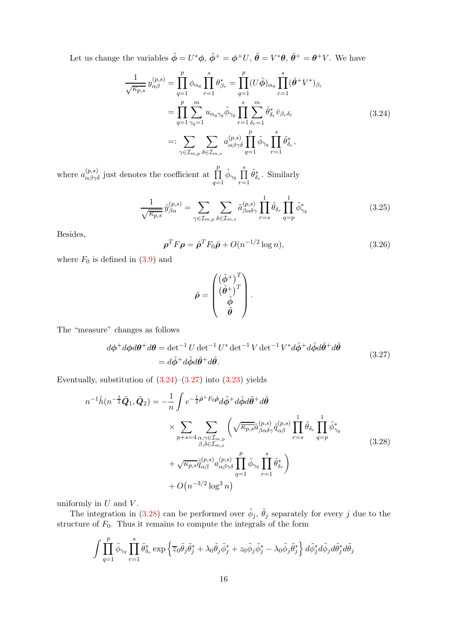Let us change the variables  $\tilde{\phi} = U^* \phi$ ,  $\tilde{\phi}^+ = \phi^+ U$ ,  $\tilde{\theta} = V^* \theta$ ,  $\tilde{\theta}^+ = \theta^+ V$ . We have

$$
\frac{1}{\sqrt{\kappa_{p,s}}} y_{\alpha\beta}^{(p,s)} = \prod_{q=1}^p \phi_{\alpha_q} \prod_{r=1}^s \theta_{\beta_r}^* = \prod_{q=1}^p (U\tilde{\phi})_{\alpha_q} \prod_{r=1}^s (\tilde{\theta}^+ V^*)_{\beta_r}
$$
\n
$$
= \prod_{q=1}^p \sum_{\gamma_q=1}^m u_{\alpha_q \gamma_q} \tilde{\phi}_{\gamma_q} \prod_{r=1}^s \sum_{\delta_r=1}^m \tilde{\theta}_{\delta_r}^* \bar{v}_{\beta_r \delta_r}
$$
\n
$$
=: \sum_{\gamma \in \mathcal{I}_{m,p}} \sum_{\delta \in \mathcal{I}_{m,s}} a_{\alpha\beta\gamma\delta}^{(p,s)} \prod_{q=1}^p \tilde{\phi}_{\gamma_q} \prod_{r=1}^s \tilde{\theta}_{\delta_r}^*,
$$
\n(3.24)

<span id="page-15-0"></span>where  $a_{\alpha\beta\gamma\delta}^{(p,s)}$  just denotes the coefficient at  $\prod$ p  $q=1$  $\tilde{\phi}_{\gamma_q} \prod^s$  $r=1$  $\tilde{\theta}_{\delta_r}^*$ . Similarly

$$
\frac{1}{\sqrt{\overline{\kappa_{p,s}}}}\,\tilde{y}_{\beta\alpha}^{(p,s)} = \sum_{\gamma\in\mathcal{I}_{m,p}}\sum_{\delta\in\mathcal{I}_{m,s}}\tilde{a}_{\beta\alpha\delta\gamma}^{(p,s)}\prod_{r=s}^{1}\tilde{\theta}_{\delta_r}\prod_{q=p}^{1}\tilde{\phi}_{\gamma_q}^*
$$
(3.25)

Besides,

$$
\rho^T F \rho = \tilde{\rho}^T F_0 \tilde{\rho} + O(n^{-1/2} \log n), \qquad (3.26)
$$

where  $F_0$  is defined in  $(3.9)$  and

$$
\tilde{\rho} = \begin{pmatrix} (\tilde{\phi}^+)^T \\ (\tilde{\theta}^+)^T \\ \tilde{\phi} \\ \tilde{\theta} \end{pmatrix}.
$$

<span id="page-15-1"></span>The "measure" changes as follows

$$
d\phi^+ d\phi d\theta^+ d\theta = \det^{-1} U \det^{-1} U^* \det^{-1} V \det^{-1} V^* d\tilde{\phi}^+ d\tilde{\phi} d\tilde{\theta}^+ d\tilde{\theta}
$$
  
=  $d\tilde{\phi}^+ d\tilde{\phi} d\tilde{\theta}^+ d\tilde{\theta}.$  (3.27)

Eventually, substitution of  $(3.24)$ – $(3.27)$  into  $(3.23)$  yields

<span id="page-15-2"></span>
$$
n^{-1}\tilde{h}(n^{-\frac{1}{2}}\tilde{Q}_{1},\tilde{Q}_{2}) = -\frac{1}{n}\int e^{-\frac{1}{2}\tilde{\rho}+F_{0}\tilde{\rho}}d\tilde{\phi}+d\tilde{\phi}d\tilde{\theta}+d\tilde{\theta}
$$
  
\$\times \sum\_{p+s=4}\sum\_{\substack{\alpha,\gamma \in \mathcal{I}\_{m,p} \\ \beta,\delta \in \mathcal{I}\_{m,s}}} \left(\sqrt{\overline{\kappa\_{p,s}}}\tilde{a}\_{\beta\alpha\delta\gamma}^{(p,s)}\tilde{q}\_{\alpha\beta}^{(p,s)}\prod\_{r=s}^{1}\tilde{\theta}\_{\delta\_{r}}\prod\_{q=p}^{1}\tilde{\phi}\_{\gamma\_{q}}^{\*} + \sqrt{\kappa\_{p,s}}\tilde{\tilde{q}}\_{\alpha\beta}^{(p,s)}a\_{\alpha\beta\gamma\delta}^{(p,s)}\prod\_{q=1}^{p}\tilde{\phi}\_{\gamma\_{q}}\prod\_{r=1}^{s}\tilde{\theta}\_{\delta\_{r}}^{\*}\right](3.28)  

$$
+O(n^{-3/2}\log^{3}n)
$$

uniformly in  $U$  and  $V$ .

The integration in [\(3.28\)](#page-15-2) can be performed over  $\tilde{\phi}_j$ ,  $\tilde{\theta}_j$  separately for every j due to the structure of  $F_0$ . Thus it remains to compute the integrals of the form

$$
\int \prod_{q=1}^p \tilde{\phi}_{\gamma_q} \prod_{r=1}^s \tilde{\theta}_{\delta_r}^* \exp \left\{ \overline{z}_0 \tilde{\theta}_j \tilde{\theta}_j^* + \lambda_0 \tilde{\theta}_j \tilde{\phi}_j^* + z_0 \tilde{\phi}_j \tilde{\phi}_j^* - \lambda_0 \tilde{\phi}_j \tilde{\theta}_j^* \right\} d\tilde{\phi}_j^* d\tilde{\phi}_j d\tilde{\theta}_j^* d\tilde{\theta}_j
$$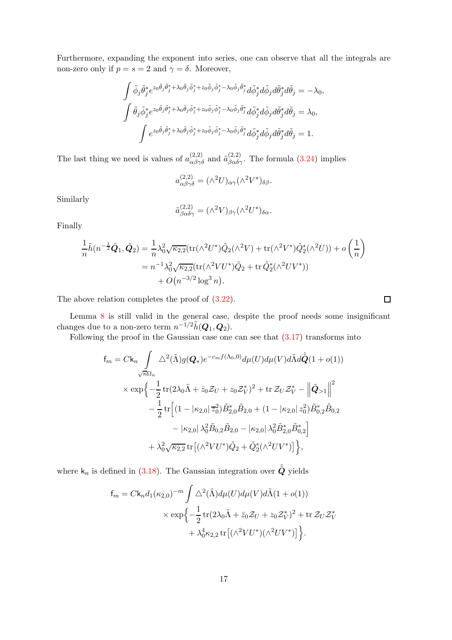Furthermore, expanding the exponent into series, one can observe that all the integrals are non-zero only if  $p = s = 2$  and  $\gamma = \delta$ . Moreover,

$$
\int \tilde{\phi}_j \tilde{\theta}_j^* e^{z_0 \tilde{\theta}_j \tilde{\theta}_j^* + \lambda_0 \tilde{\theta}_j \tilde{\phi}_j^* + z_0 \tilde{\phi}_j \tilde{\phi}_j^* - \lambda_0 \tilde{\phi}_j \tilde{\theta}_j^* d\tilde{\phi}_j d\tilde{\theta}_j d\tilde{\theta}_j^* d\tilde{\theta}_j = -\lambda_0,
$$
  

$$
\int \tilde{\theta}_j \tilde{\phi}_j^* e^{z_0 \tilde{\theta}_j \tilde{\theta}_j^* + \lambda_0 \tilde{\theta}_j \tilde{\phi}_j^* + z_0 \tilde{\phi}_j \tilde{\phi}_j^* - \lambda_0 \tilde{\phi}_j \tilde{\theta}_j^* d\tilde{\phi}_j d\tilde{\theta}_j d\tilde{\theta}_j^* d\tilde{\theta}_j = \lambda_0,
$$
  

$$
\int e^{z_0 \tilde{\theta}_j \tilde{\theta}_j^* + \lambda_0 \tilde{\theta}_j \tilde{\phi}_j^* + z_0 \tilde{\phi}_j \tilde{\phi}_j^* - \lambda_0 \tilde{\phi}_j \tilde{\theta}_j^* d\tilde{\phi}_j d\tilde{\theta}_j d\tilde{\theta}_j d\tilde{\theta}_j = 1.
$$

The last thing we need is values of  $a_{\alpha\beta\gamma\delta}^{(2,2)}$  and  $\tilde{a}_{\beta\alpha\delta\gamma}^{(2,2)}$ . The formula [\(3.24\)](#page-15-0) implies

$$
a_{\alpha\beta\gamma\delta}^{(2,2)} = (\wedge^2 U)_{\alpha\gamma} (\wedge^2 V^*)_{\delta\beta}.
$$

Similarly

$$
\tilde{a}^{(2,2)}_{\beta\alpha\delta\gamma} = (\wedge^2 V)_{\beta\gamma} (\wedge^2 U^*)_{\delta\alpha}.
$$

Finally

$$
\frac{1}{n}\tilde{h}(n^{-\frac{1}{2}}\tilde{Q}_{1},\tilde{Q}_{2}) = \frac{1}{n}\lambda_{0}^{2}\sqrt{\kappa_{2,2}}(\text{tr}(\wedge^{2}U^{*})\tilde{Q}_{2}(\wedge^{2}V) + \text{tr}(\wedge^{2}V^{*})\tilde{Q}_{2}^{*}(\wedge^{2}U)) + o\left(\frac{1}{n}\right)
$$

$$
= n^{-1}\lambda_{0}^{2}\sqrt{\kappa_{2,2}}(\text{tr}(\wedge^{2}VU^{*})\tilde{Q}_{2} + \text{tr}\,\tilde{Q}_{2}^{*}(\wedge^{2}UV^{*}))
$$

$$
+ O(n^{-3/2}\log^{3}n).
$$

The above relation completes the proof of  $(3.22)$ .

Lemma [8](#page-11-1) is still valid in the general case, despite the proof needs some insignificant changes due to a non-zero term  $n^{-1/2} \tilde{h}(\mathbf{Q}_1, \mathbf{Q}_2)$ .

Following the proof in the Gaussian case one can see that  $(3.17)$  transforms into

$$
f_m = Ck_n \int_{\sqrt{n}\Omega_n} \Delta^2(\tilde{\Lambda}) g(Q_*) e^{-c_m f(\Lambda_0, 0)} d\mu(U) d\mu(V) d\tilde{\Lambda} d\hat{Q}(1 + o(1))
$$
  

$$
\times \exp \left\{ -\frac{1}{2} \text{tr}(2\lambda_0 \tilde{\Lambda} + \bar{z}_0 Z_U + z_0 Z_V^*)^2 + \text{tr} Z_U Z_V^* - \left\| \tilde{Q}_{>1} \right\|^2 - \frac{1}{2} \text{tr} \left[ (1 - |\kappa_{2,0}| \bar{z}_0^2) \tilde{B}_{2,0}^* \tilde{B}_{2,0} + (1 - |\kappa_{2,0}| z_0^2) \tilde{B}_{0,2}^* \tilde{B}_{0,2} - |\kappa_{2,0}| \lambda_0^2 \tilde{B}_{2,0} \tilde{B}_{2,0} - |\kappa_{2,0}| \lambda_0^2 \tilde{B}_{2,0}^* \tilde{B}_{0,2}^* \right] + \lambda_0^2 \sqrt{\kappa_{2,2}} \text{tr} \left[ (\Lambda^2 V U^*) \tilde{Q}_2 + \tilde{Q}_2^* (\Lambda^2 U V^*) \right] \Big\},
$$

where  $\mathsf{k}_n$  is defined in [\(3.18\)](#page-13-1). The Gaussian integration over  $\hat{\tilde{\mathbf{Q}}}$  yields

$$
f_m = C k_n d_1(\kappa_{2,0})^{-m} \int \Delta^2(\tilde{\Lambda}) d\mu(U) d\mu(V) d\tilde{\Lambda}(1+o(1))
$$
  
 
$$
\times \exp \left\{-\frac{1}{2} \operatorname{tr}(2\lambda_0 \tilde{\Lambda} + \bar{z}_0 Z_U + z_0 Z_V^*)^2 + \operatorname{tr} Z_U Z_V^* + \lambda_0^4 \kappa_{2,2} \operatorname{tr} \left[ (\wedge^2 V U^*) (\wedge^2 U V^*) \right] \right\}.
$$

$$
\Box
$$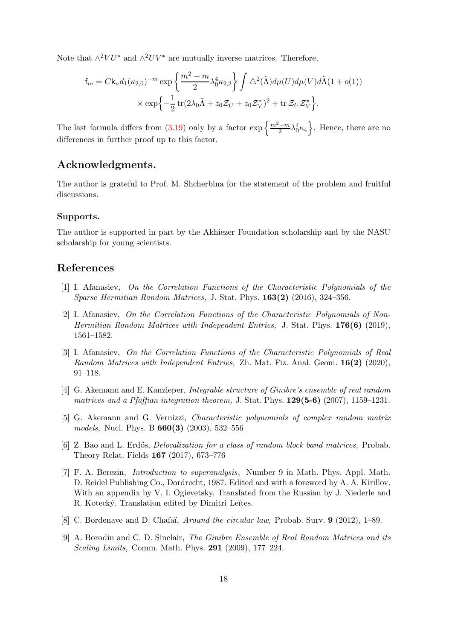Note that  $\wedge^2 V U^*$  and  $\wedge^2 UV^*$  are mutually inverse matrices. Therefore,

$$
f_m = C k_n d_1(\kappa_{2,0})^{-m} \exp\left\{\frac{m^2 - m}{2} \lambda_0^4 \kappa_{2,2}\right\} \int \Delta^2(\tilde{\Lambda}) d\mu(U) d\mu(V) d\tilde{\Lambda}(1 + o(1))
$$
  
 
$$
\times \exp\left\{-\frac{1}{2} \operatorname{tr}(2\lambda_0 \tilde{\Lambda} + \bar{z}_0 \mathcal{Z}_U + z_0 \mathcal{Z}_V^*)^2 + \operatorname{tr} \mathcal{Z}_U \mathcal{Z}_V^* \right\}.
$$

The last formula differs from [\(3.19\)](#page-13-2) only by a factor  $\exp\left\{\frac{m^2-m}{2}\lambda_0^4\kappa_4\right\}$ . Hence, there are no differences in further proof up to this factor.

## Acknowledgments.

The author is grateful to Prof. M. Shcherbina for the statement of the problem and fruitful discussions.

#### Supports.

The author is supported in part by the Akhiezer Foundation scholarship and by the NASU scholarship for young scientists.

## <span id="page-17-6"></span>References

- [1] I. Afanasiev, On the Correlation Functions of the Characteristic Polynomials of the Sparse Hermitian Random Matrices, J. Stat. Phys. 163(2) (2016), 324–356.
- <span id="page-17-0"></span>[2] I. Afanasiev, On the Correlation Functions of the Characteristic Polynomials of Non-Hermitian Random Matrices with Independent Entries, J. Stat. Phys.  $176(6)$  (2019), 1561–1582.
- <span id="page-17-1"></span>[3] I. Afanasiev, On the Correlation Functions of the Characteristic Polynomials of Real Random Matrices with Independent Entries, Zh. Mat. Fiz. Anal. Geom. 16(2) (2020), 91–118.
- <span id="page-17-2"></span>[4] G. Akemann and E. Kanzieper, Integrable structure of Ginibre's ensemble of real random matrices and a Pfaffian integration theorem, J. Stat. Phys.  $129(5-6)$  (2007), 1159–1231.
- <span id="page-17-7"></span>[5] G. Akemann and G. Vernizzi, Characteristic polynomials of complex random matrix models, Nucl. Phys. B 660(3) (2003), 532–556
- <span id="page-17-5"></span>[6] Z. Bao and L. Erdős, *Delocalization for a class of random block band matrices*, Probab. Theory Relat. Fields 167 (2017), 673–776
- [7] F. A. Berezin, Introduction to superanalysis, Number 9 in Math. Phys. Appl. Math. D. Reidel Publishing Co., Dordrecht, 1987. Edited and with a foreword by A. A. Kirillov. With an appendix by V. I. Ogievetsky. Translated from the Russian by J. Niederle and R. Kotecký. Translation edited by Dimitri Leĭtes.
- <span id="page-17-4"></span><span id="page-17-3"></span>[8] C. Bordenave and D. Chafaï, *Around the circular law*, Probab. Surv. 9 (2012), 1–89.
- [9] A. Borodin and C. D. Sinclair, The Ginibre Ensemble of Real Random Matrices and its Scaling Limits, Comm. Math. Phys. 291 (2009), 177–224.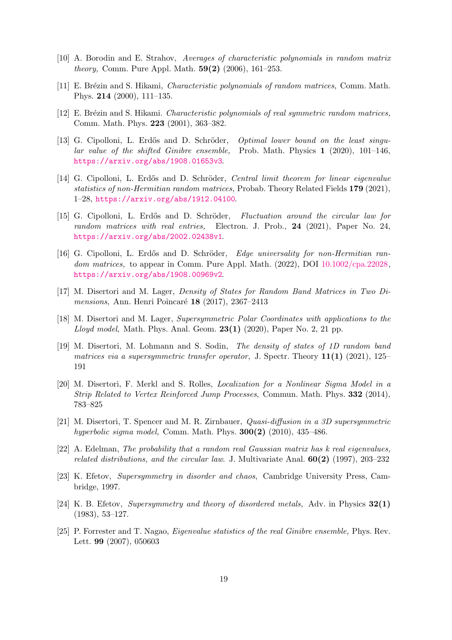- <span id="page-18-10"></span><span id="page-18-6"></span>[10] A. Borodin and E. Strahov, Averages of characteristic polynomials in random matrix *theory*, Comm. Pure Appl. Math.  $59(2)$  (2006), 161–253.
- <span id="page-18-7"></span>[11] E. Brézin and S. Hikami, *Characteristic polynomials of random matrices*, Comm. Math. Phys. 214 (2000), 111–135.
- <span id="page-18-5"></span>[12] E. Brézin and S. Hikami. Characteristic polynomials of real symmetric random matrices, Comm. Math. Phys. 223 (2001), 363–382.
- [13] G. Cipolloni, L. Erdős and D. Schröder, *Optimal lower bound on the least singu*lar value of the shifted Ginibre ensemble, Prob. Math. Physics 1 (2020), 101–146, <https://arxiv.org/abs/1908.01653v3>.
- <span id="page-18-0"></span>[14] G. Cipolloni, L. Erdős and D. Schröder, Central limit theorem for linear eigenvalue statistics of non-Hermitian random matrices, Probab. Theory Related Fields 179 (2021), 1–28, <https://arxiv.org/abs/1912.04100>.
- <span id="page-18-1"></span>[15] G. Cipolloni, L. Erdős and D. Schröder, Fluctuation around the circular law for random matrices with real entries, Electron. J. Prob., 24 (2021), Paper No. 24, <https://arxiv.org/abs/2002.02438v1>.
- <span id="page-18-4"></span>[16] G. Cipolloni, L. Erdős and D. Schröder, Edge universality for non-Hermitian ran-dom matrices, to appear in Comm. Pure Appl. Math. (2022), DOI [10.1002/cpa.22028,](https://doi.org/10.1002/cpa.22028) <https://arxiv.org/abs/1908.00969v2>.
- <span id="page-18-8"></span>[17] M. Disertori and M. Lager, Density of States for Random Band Matrices in Two Dimensions, Ann. Henri Poincaré  $18$  (2017), 2367–2413
- [18] M. Disertori and M. Lager, Supersymmetric Polar Coordinates with applications to the Lloyd model, Math. Phys. Anal. Geom.  $23(1)$  (2020), Paper No. 2, 21 pp.
- [19] M. Disertori, M. Lohmann and S. Sodin, The density of states of 1D random band matrices via a supersymmetric transfer operator, J. Spectr. Theory  $11(1)$  (2021), 125– 191
- [20] M. Disertori, F. Merkl and S. Rolles, Localization for a Nonlinear Sigma Model in a Strip Related to Vertex Reinforced Jump Processes, Commun. Math. Phys. 332 (2014), 783–825
- <span id="page-18-9"></span><span id="page-18-2"></span>[21] M. Disertori, T. Spencer and M. R. Zirnbauer, Quasi-diffusion in a 3D supersymmetric hyperbolic sigma model, Comm. Math. Phys.  $300(2)$  (2010), 435–486.
- [22] A. Edelman, The probability that a random real Gaussian matrix has k real eigenvalues, related distributions, and the circular law. J. Multivariate Anal.  $60(2)$  (1997), 203–232
- [23] K. Efetov, Supersymmetry in disorder and chaos, Cambridge University Press, Cambridge, 1997.
- [24] K. B. Efetov, Supersymmetry and theory of disordered metals, Adv. in Physics  $32(1)$ (1983), 53–127.
- <span id="page-18-3"></span>[25] P. Forrester and T. Nagao, Eigenvalue statistics of the real Ginibre ensemble, Phys. Rev. Lett. 99 (2007), 050603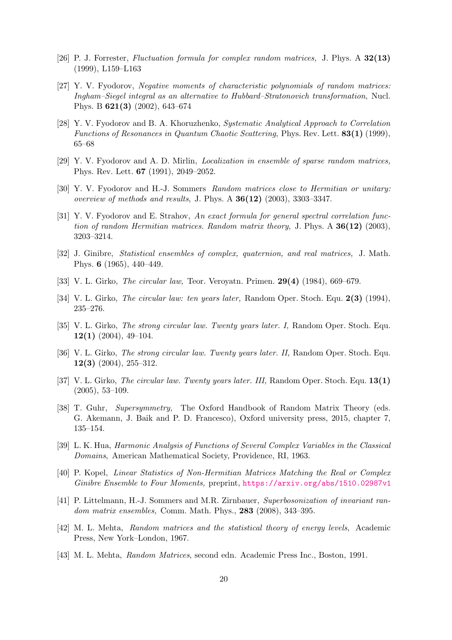- <span id="page-19-7"></span><span id="page-19-5"></span>[26] P. J. Forrester, Fluctuation formula for complex random matrices, J. Phys. A 32(13) (1999), L159–L163
- [27] Y. V. Fyodorov, Negative moments of characteristic polynomials of random matrices: Ingham–Siegel integral as an alternative to Hubbard–Stratonovich transformation, Nucl. Phys. B 621(3) (2002), 643–674
- <span id="page-19-11"></span>[28] Y. V. Fyodorov and B. A. Khoruzhenko, Systematic Analytical Approach to Correlation Functions of Resonances in Quantum Chaotic Scattering, Phys. Rev. Lett. 83(1) (1999), 65–68
- <span id="page-19-12"></span><span id="page-19-8"></span>[29] Y. V. Fyodorov and A. D. Mirlin, Localization in ensemble of sparse random matrices, Phys. Rev. Lett. 67 (1991), 2049–2052.
- <span id="page-19-9"></span>[30] Y. V. Fyodorov and H.-J. Sommers Random matrices close to Hermitian or unitary: overview of methods and results, J. Phys. A  $36(12)$  (2003), 3303-3347.
- [31] Y. V. Fyodorov and E. Strahov, An exact formula for general spectral correlation function of random Hermitian matrices. Random matrix theory, J. Phys. A  $36(12)$  (2003), 3203–3214.
- <span id="page-19-0"></span>[32] J. Ginibre, Statistical ensembles of complex, quaternion, and real matrices, J. Math. Phys. 6 (1965), 440–449.
- <span id="page-19-3"></span><span id="page-19-2"></span>[33] V. L. Girko, *The circular law*, Teor. Veroyatn. Primen. **29(4)** (1984), 669–679.
- [34] V. L. Girko, *The circular law: ten years later*, Random Oper. Stoch. Equ. 2(3) (1994), 235–276.
- [35] V. L. Girko, The strong circular law. Twenty years later. I, Random Oper. Stoch. Equ.  $12(1)$  (2004), 49-104.
- [36] V. L. Girko, *The strong circular law. Twenty years later. II*, Random Oper. Stoch. Equ.  $12(3)$  (2004), 255-312.
- <span id="page-19-4"></span>[37] V. L. Girko, *The circular law. Twenty years later. III*, Random Oper. Stoch. Equ. 13(1) (2005), 53–109.
- <span id="page-19-10"></span>[38] T. Guhr, Supersymmetry, The Oxford Handbook of Random Matrix Theory (eds. G. Akemann, J. Baik and P. D. Francesco), Oxford university press, 2015, chapter 7, 135–154.
- <span id="page-19-13"></span><span id="page-19-6"></span>[39] L. K. Hua, Harmonic Analysis of Functions of Several Complex Variables in the Classical Domains, American Mathematical Society, Providence, RI, 1963.
- [40] P. Kopel, Linear Statistics of Non-Hermitian Matrices Matching the Real or Complex Ginibre Ensemble to Four Moments, preprint, <https://arxiv.org/abs/1510.02987v1>
- [41] P. Littelmann, H.-J. Sommers and M.R. Zirnbauer, Superbosonization of invariant random matrix ensembles, Comm. Math. Phys., 283 (2008), 343–395.
- <span id="page-19-1"></span>[42] M. L. Mehta, Random matrices and the statistical theory of energy levels, Academic Press, New York–London, 1967.
- <span id="page-19-14"></span>[43] M. L. Mehta, Random Matrices, second edn. Academic Press Inc., Boston, 1991.